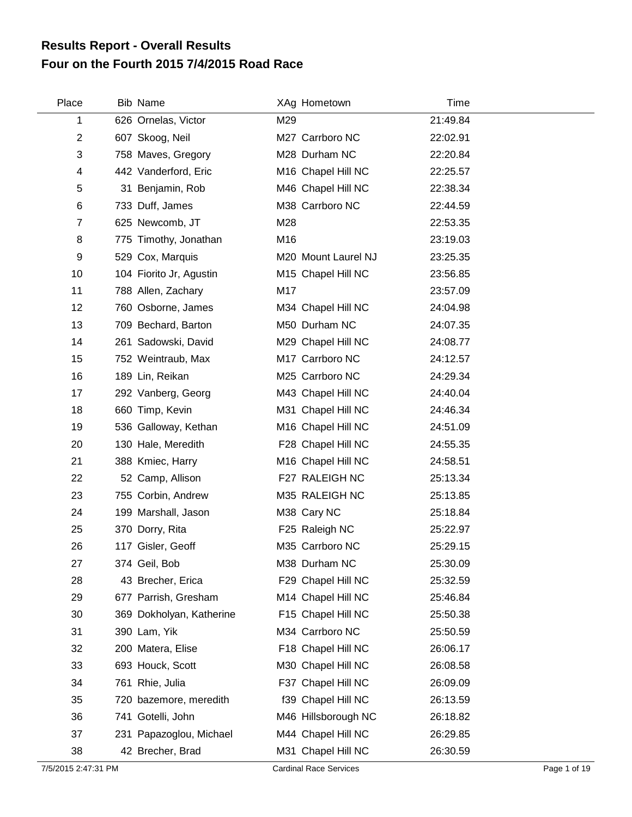## **Four on the Fourth 2015 7/4/2015 Road Race Results Report - Overall Results**

| Place          | <b>Bib Name</b>          |     | XAg Hometown        | Time     |  |
|----------------|--------------------------|-----|---------------------|----------|--|
| 1              | 626 Ornelas, Victor      | M29 |                     | 21:49.84 |  |
| $\overline{2}$ | 607 Skoog, Neil          |     | M27 Carrboro NC     | 22:02.91 |  |
| 3              | 758 Maves, Gregory       |     | M28 Durham NC       | 22:20.84 |  |
| 4              | 442 Vanderford, Eric     |     | M16 Chapel Hill NC  | 22:25.57 |  |
| 5              | 31 Benjamin, Rob         |     | M46 Chapel Hill NC  | 22:38.34 |  |
| 6              | 733 Duff, James          |     | M38 Carrboro NC     | 22:44.59 |  |
| $\overline{7}$ | 625 Newcomb, JT          | M28 |                     | 22:53.35 |  |
| 8              | 775 Timothy, Jonathan    | M16 |                     | 23:19.03 |  |
| 9              | 529 Cox, Marquis         |     | M20 Mount Laurel NJ | 23:25.35 |  |
| 10             | 104 Fiorito Jr, Agustin  |     | M15 Chapel Hill NC  | 23:56.85 |  |
| 11             | 788 Allen, Zachary       | M17 |                     | 23:57.09 |  |
| 12             | 760 Osborne, James       |     | M34 Chapel Hill NC  | 24:04.98 |  |
| 13             | 709 Bechard, Barton      |     | M50 Durham NC       | 24:07.35 |  |
| 14             | 261 Sadowski, David      |     | M29 Chapel Hill NC  | 24:08.77 |  |
| 15             | 752 Weintraub, Max       |     | M17 Carrboro NC     | 24:12.57 |  |
| 16             | 189 Lin, Reikan          |     | M25 Carrboro NC     | 24:29.34 |  |
| 17             | 292 Vanberg, Georg       |     | M43 Chapel Hill NC  | 24:40.04 |  |
| 18             | 660 Timp, Kevin          |     | M31 Chapel Hill NC  | 24:46.34 |  |
| 19             | 536 Galloway, Kethan     |     | M16 Chapel Hill NC  | 24:51.09 |  |
| 20             | 130 Hale, Meredith       |     | F28 Chapel Hill NC  | 24:55.35 |  |
| 21             | 388 Kmiec, Harry         |     | M16 Chapel Hill NC  | 24:58.51 |  |
| 22             | 52 Camp, Allison         |     | F27 RALEIGH NC      | 25:13.34 |  |
| 23             | 755 Corbin, Andrew       |     | M35 RALEIGH NC      | 25:13.85 |  |
| 24             | 199 Marshall, Jason      |     | M38 Cary NC         | 25:18.84 |  |
| 25             | 370 Dorry, Rita          |     | F25 Raleigh NC      | 25:22.97 |  |
| 26             | 117 Gisler, Geoff        |     | M35 Carrboro NC     | 25:29.15 |  |
| 27             | 374 Geil, Bob            |     | M38 Durham NC       | 25:30.09 |  |
| 28             | 43 Brecher, Erica        |     | F29 Chapel Hill NC  | 25:32.59 |  |
| 29             | 677 Parrish, Gresham     |     | M14 Chapel Hill NC  | 25:46.84 |  |
| 30             | 369 Dokholyan, Katherine |     | F15 Chapel Hill NC  | 25:50.38 |  |
| 31             | 390 Lam, Yik             |     | M34 Carrboro NC     | 25:50.59 |  |
| 32             | 200 Matera, Elise        |     | F18 Chapel Hill NC  | 26:06.17 |  |
| 33             | 693 Houck, Scott         |     | M30 Chapel Hill NC  | 26:08.58 |  |
| 34             | 761 Rhie, Julia          |     | F37 Chapel Hill NC  | 26:09.09 |  |
| 35             | 720 bazemore, meredith   |     | f39 Chapel Hill NC  | 26:13.59 |  |
| 36             | 741 Gotelli, John        |     | M46 Hillsborough NC | 26:18.82 |  |
| 37             | 231 Papazoglou, Michael  |     | M44 Chapel Hill NC  | 26:29.85 |  |
| 38             | 42 Brecher, Brad         |     | M31 Chapel Hill NC  | 26:30.59 |  |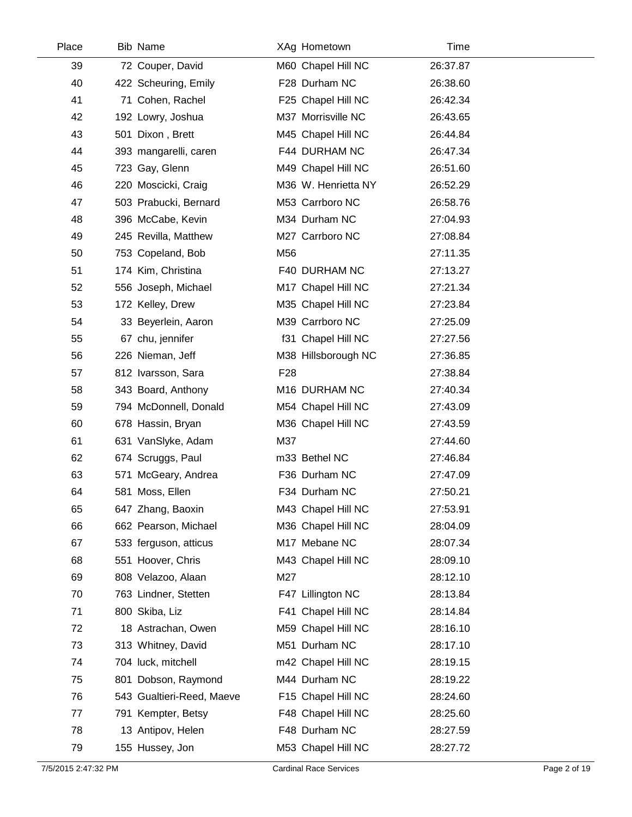| Place | <b>Bib Name</b>           | XAg Hometown        | Time     |  |
|-------|---------------------------|---------------------|----------|--|
| 39    | 72 Couper, David          | M60 Chapel Hill NC  | 26:37.87 |  |
| 40    | 422 Scheuring, Emily      | F28 Durham NC       | 26:38.60 |  |
| 41    | 71 Cohen, Rachel          | F25 Chapel Hill NC  | 26:42.34 |  |
| 42    | 192 Lowry, Joshua         | M37 Morrisville NC  | 26:43.65 |  |
| 43    | 501 Dixon, Brett          | M45 Chapel Hill NC  | 26:44.84 |  |
| 44    | 393 mangarelli, caren     | F44 DURHAM NC       | 26:47.34 |  |
| 45    | 723 Gay, Glenn            | M49 Chapel Hill NC  | 26:51.60 |  |
| 46    | 220 Moscicki, Craig       | M36 W. Henrietta NY | 26:52.29 |  |
| 47    | 503 Prabucki, Bernard     | M53 Carrboro NC     | 26:58.76 |  |
| 48    | 396 McCabe, Kevin         | M34 Durham NC       | 27:04.93 |  |
| 49    | 245 Revilla, Matthew      | M27 Carrboro NC     | 27:08.84 |  |
| 50    | 753 Copeland, Bob         | M56                 | 27:11.35 |  |
| 51    | 174 Kim, Christina        | F40 DURHAM NC       | 27:13.27 |  |
| 52    | 556 Joseph, Michael       | M17 Chapel Hill NC  | 27:21.34 |  |
| 53    | 172 Kelley, Drew          | M35 Chapel Hill NC  | 27:23.84 |  |
| 54    | 33 Beyerlein, Aaron       | M39 Carrboro NC     | 27:25.09 |  |
| 55    | 67 chu, jennifer          | f31 Chapel Hill NC  | 27:27.56 |  |
| 56    | 226 Nieman, Jeff          | M38 Hillsborough NC | 27:36.85 |  |
| 57    | 812 Ivarsson, Sara        | F <sub>28</sub>     | 27:38.84 |  |
| 58    | 343 Board, Anthony        | M16 DURHAM NC       | 27:40.34 |  |
| 59    | 794 McDonnell, Donald     | M54 Chapel Hill NC  | 27:43.09 |  |
| 60    | 678 Hassin, Bryan         | M36 Chapel Hill NC  | 27:43.59 |  |
| 61    | 631 VanSlyke, Adam        | M37                 | 27:44.60 |  |
| 62    | 674 Scruggs, Paul         | m33 Bethel NC       | 27:46.84 |  |
| 63    | 571 McGeary, Andrea       | F36 Durham NC       | 27:47.09 |  |
| 64    | 581 Moss, Ellen           | F34 Durham NC       | 27:50.21 |  |
| 65    | 647 Zhang, Baoxin         | M43 Chapel Hill NC  | 27:53.91 |  |
| 66    | 662 Pearson, Michael      | M36 Chapel Hill NC  | 28:04.09 |  |
| 67    | 533 ferguson, atticus     | M17 Mebane NC       | 28:07.34 |  |
| 68    | 551 Hoover, Chris         | M43 Chapel Hill NC  | 28:09.10 |  |
| 69    | 808 Velazoo, Alaan        | M27                 | 28:12.10 |  |
| 70    | 763 Lindner, Stetten      | F47 Lillington NC   | 28:13.84 |  |
| 71    | 800 Skiba, Liz            | F41 Chapel Hill NC  | 28:14.84 |  |
| 72    | 18 Astrachan, Owen        | M59 Chapel Hill NC  | 28:16.10 |  |
| 73    | 313 Whitney, David        | M51 Durham NC       | 28:17.10 |  |
| 74    | 704 luck, mitchell        | m42 Chapel Hill NC  | 28:19.15 |  |
| 75    | 801 Dobson, Raymond       | M44 Durham NC       | 28:19.22 |  |
| 76    | 543 Gualtieri-Reed, Maeve | F15 Chapel Hill NC  | 28:24.60 |  |
| 77    | 791 Kempter, Betsy        | F48 Chapel Hill NC  | 28:25.60 |  |
| 78    | 13 Antipov, Helen         | F48 Durham NC       | 28:27.59 |  |
| 79    | 155 Hussey, Jon           | M53 Chapel Hill NC  | 28:27.72 |  |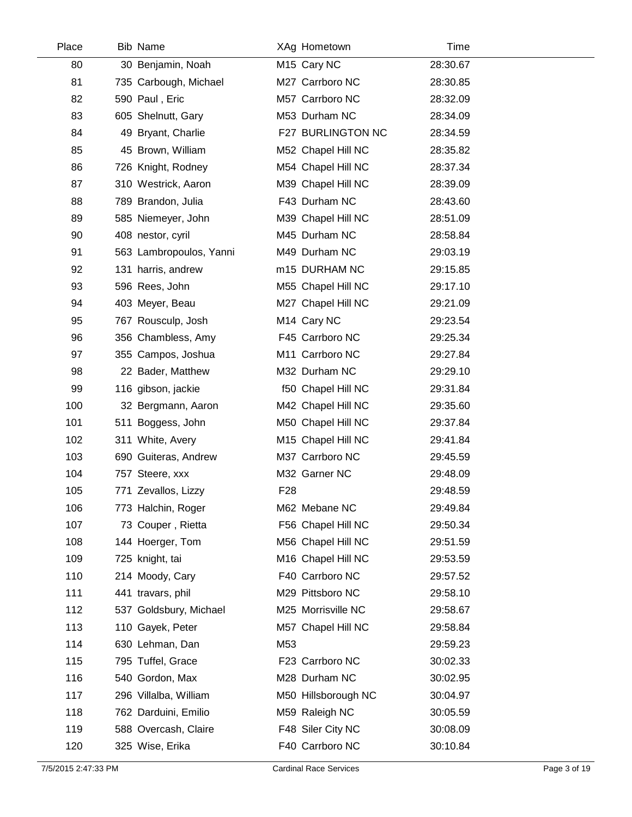| Place | Bib Name                |                 | XAg Hometown        | Time     |  |
|-------|-------------------------|-----------------|---------------------|----------|--|
| 80    | 30 Benjamin, Noah       |                 | M15 Cary NC         | 28:30.67 |  |
| 81    | 735 Carbough, Michael   |                 | M27 Carrboro NC     | 28:30.85 |  |
| 82    | 590 Paul, Eric          |                 | M57 Carrboro NC     | 28:32.09 |  |
| 83    | 605 Shelnutt, Gary      |                 | M53 Durham NC       | 28:34.09 |  |
| 84    | 49 Bryant, Charlie      |                 | F27 BURLINGTON NC   | 28:34.59 |  |
| 85    | 45 Brown, William       |                 | M52 Chapel Hill NC  | 28:35.82 |  |
| 86    | 726 Knight, Rodney      |                 | M54 Chapel Hill NC  | 28:37.34 |  |
| 87    | 310 Westrick, Aaron     |                 | M39 Chapel Hill NC  | 28:39.09 |  |
| 88    | 789 Brandon, Julia      |                 | F43 Durham NC       | 28:43.60 |  |
| 89    | 585 Niemeyer, John      |                 | M39 Chapel Hill NC  | 28:51.09 |  |
| 90    | 408 nestor, cyril       |                 | M45 Durham NC       | 28:58.84 |  |
| 91    | 563 Lambropoulos, Yanni |                 | M49 Durham NC       | 29:03.19 |  |
| 92    | 131 harris, andrew      |                 | m15 DURHAM NC       | 29:15.85 |  |
| 93    | 596 Rees, John          |                 | M55 Chapel Hill NC  | 29:17.10 |  |
| 94    | 403 Meyer, Beau         |                 | M27 Chapel Hill NC  | 29:21.09 |  |
| 95    | 767 Rousculp, Josh      |                 | M14 Cary NC         | 29:23.54 |  |
| 96    | 356 Chambless, Amy      |                 | F45 Carrboro NC     | 29:25.34 |  |
| 97    | 355 Campos, Joshua      |                 | M11 Carrboro NC     | 29:27.84 |  |
| 98    | 22 Bader, Matthew       |                 | M32 Durham NC       | 29:29.10 |  |
| 99    | 116 gibson, jackie      |                 | f50 Chapel Hill NC  | 29:31.84 |  |
| 100   | 32 Bergmann, Aaron      |                 | M42 Chapel Hill NC  | 29:35.60 |  |
| 101   | 511 Boggess, John       |                 | M50 Chapel Hill NC  | 29:37.84 |  |
| 102   | 311 White, Avery        |                 | M15 Chapel Hill NC  | 29:41.84 |  |
| 103   | 690 Guiteras, Andrew    |                 | M37 Carrboro NC     | 29:45.59 |  |
| 104   | 757 Steere, xxx         |                 | M32 Garner NC       | 29:48.09 |  |
| 105   | 771 Zevallos, Lizzy     | F <sub>28</sub> |                     | 29:48.59 |  |
| 106   | 773 Halchin, Roger      |                 | M62 Mebane NC       | 29:49.84 |  |
| 107   | 73 Couper, Rietta       |                 | F56 Chapel Hill NC  | 29:50.34 |  |
| 108   | 144 Hoerger, Tom        |                 | M56 Chapel Hill NC  | 29:51.59 |  |
| 109   | 725 knight, tai         |                 | M16 Chapel Hill NC  | 29:53.59 |  |
| 110   | 214 Moody, Cary         |                 | F40 Carrboro NC     | 29:57.52 |  |
| 111   | 441 travars, phil       |                 | M29 Pittsboro NC    | 29:58.10 |  |
| 112   | 537 Goldsbury, Michael  |                 | M25 Morrisville NC  | 29:58.67 |  |
| 113   | 110 Gayek, Peter        |                 | M57 Chapel Hill NC  | 29:58.84 |  |
| 114   | 630 Lehman, Dan         | M53             |                     | 29:59.23 |  |
| 115   | 795 Tuffel, Grace       |                 | F23 Carrboro NC     | 30:02.33 |  |
| 116   | 540 Gordon, Max         |                 | M28 Durham NC       | 30:02.95 |  |
| 117   | 296 Villalba, William   |                 | M50 Hillsborough NC | 30:04.97 |  |
| 118   | 762 Darduini, Emilio    |                 | M59 Raleigh NC      | 30:05.59 |  |
| 119   | 588 Overcash, Claire    |                 | F48 Siler City NC   | 30:08.09 |  |
| 120   | 325 Wise, Erika         |                 | F40 Carrboro NC     | 30:10.84 |  |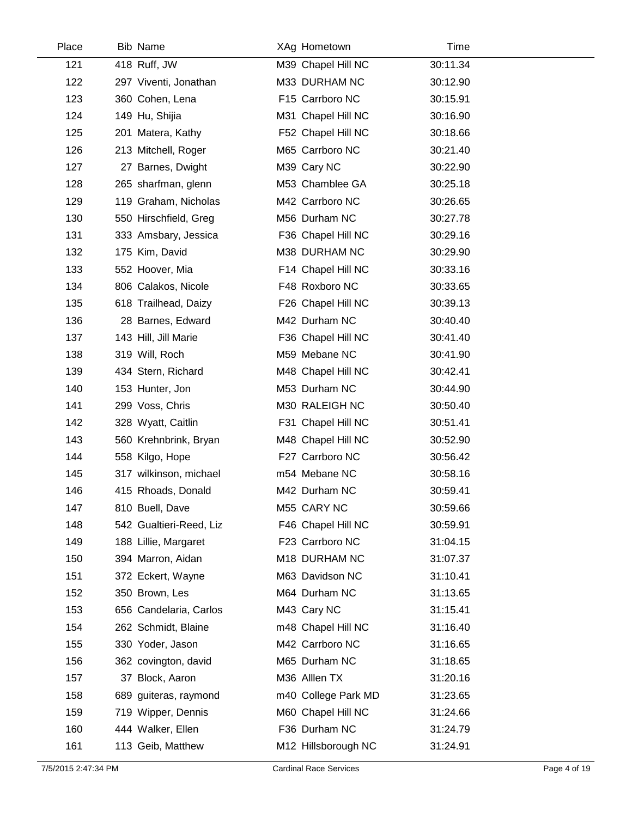| Place | Bib Name                | XAg Hometown        | Time     |  |
|-------|-------------------------|---------------------|----------|--|
| 121   | 418 Ruff, JW            | M39 Chapel Hill NC  | 30:11.34 |  |
| 122   | 297 Viventi, Jonathan   | M33 DURHAM NC       | 30:12.90 |  |
| 123   | 360 Cohen, Lena         | F15 Carrboro NC     | 30:15.91 |  |
| 124   | 149 Hu, Shijia          | M31 Chapel Hill NC  | 30:16.90 |  |
| 125   | 201 Matera, Kathy       | F52 Chapel Hill NC  | 30:18.66 |  |
| 126   | 213 Mitchell, Roger     | M65 Carrboro NC     | 30:21.40 |  |
| 127   | 27 Barnes, Dwight       | M39 Cary NC         | 30:22.90 |  |
| 128   | 265 sharfman, glenn     | M53 Chamblee GA     | 30:25.18 |  |
| 129   | 119 Graham, Nicholas    | M42 Carrboro NC     | 30:26.65 |  |
| 130   | 550 Hirschfield, Greg   | M56 Durham NC       | 30:27.78 |  |
| 131   | 333 Amsbary, Jessica    | F36 Chapel Hill NC  | 30:29.16 |  |
| 132   | 175 Kim, David          | M38 DURHAM NC       | 30:29.90 |  |
| 133   | 552 Hoover, Mia         | F14 Chapel Hill NC  | 30:33.16 |  |
| 134   | 806 Calakos, Nicole     | F48 Roxboro NC      | 30:33.65 |  |
| 135   | 618 Trailhead, Daizy    | F26 Chapel Hill NC  | 30:39.13 |  |
| 136   | 28 Barnes, Edward       | M42 Durham NC       | 30:40.40 |  |
| 137   | 143 Hill, Jill Marie    | F36 Chapel Hill NC  | 30:41.40 |  |
| 138   | 319 Will, Roch          | M59 Mebane NC       | 30:41.90 |  |
| 139   | 434 Stern, Richard      | M48 Chapel Hill NC  | 30:42.41 |  |
| 140   | 153 Hunter, Jon         | M53 Durham NC       | 30:44.90 |  |
| 141   | 299 Voss, Chris         | M30 RALEIGH NC      | 30:50.40 |  |
| 142   | 328 Wyatt, Caitlin      | F31 Chapel Hill NC  | 30:51.41 |  |
| 143   | 560 Krehnbrink, Bryan   | M48 Chapel Hill NC  | 30:52.90 |  |
| 144   | 558 Kilgo, Hope         | F27 Carrboro NC     | 30:56.42 |  |
| 145   | 317 wilkinson, michael  | m54 Mebane NC       | 30:58.16 |  |
| 146   | 415 Rhoads, Donald      | M42 Durham NC       | 30:59.41 |  |
| 147   | 810 Buell, Dave         | M55 CARY NC         | 30:59.66 |  |
| 148   | 542 Gualtieri-Reed, Liz | F46 Chapel Hill NC  | 30:59.91 |  |
| 149   | 188 Lillie, Margaret    | F23 Carrboro NC     | 31:04.15 |  |
| 150   | 394 Marron, Aidan       | M18 DURHAM NC       | 31:07.37 |  |
| 151   | 372 Eckert, Wayne       | M63 Davidson NC     | 31:10.41 |  |
| 152   | 350 Brown, Les          | M64 Durham NC       | 31:13.65 |  |
| 153   | 656 Candelaria, Carlos  | M43 Cary NC         | 31:15.41 |  |
| 154   | 262 Schmidt, Blaine     | m48 Chapel Hill NC  | 31:16.40 |  |
| 155   | 330 Yoder, Jason        | M42 Carrboro NC     | 31:16.65 |  |
| 156   | 362 covington, david    | M65 Durham NC       | 31:18.65 |  |
| 157   | 37 Block, Aaron         | M36 Alllen TX       | 31:20.16 |  |
| 158   | 689 guiteras, raymond   | m40 College Park MD | 31:23.65 |  |
| 159   | 719 Wipper, Dennis      | M60 Chapel Hill NC  | 31:24.66 |  |
| 160   | 444 Walker, Ellen       | F36 Durham NC       | 31:24.79 |  |
| 161   | 113 Geib, Matthew       | M12 Hillsborough NC | 31:24.91 |  |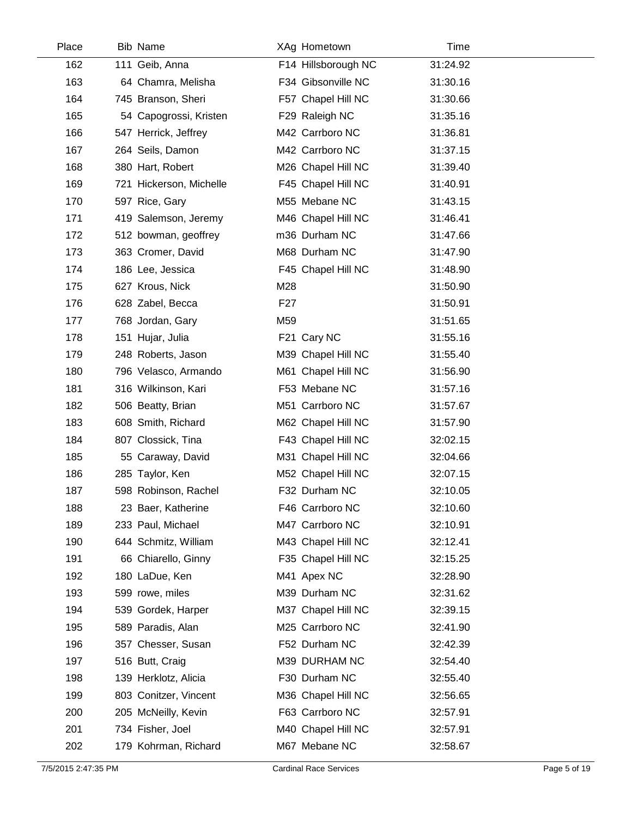| Place | <b>Bib Name</b>         | XAg Hometown        | <b>Time</b> |  |
|-------|-------------------------|---------------------|-------------|--|
| 162   | 111 Geib, Anna          | F14 Hillsborough NC | 31:24.92    |  |
| 163   | 64 Chamra, Melisha      | F34 Gibsonville NC  | 31:30.16    |  |
| 164   | 745 Branson, Sheri      | F57 Chapel Hill NC  | 31:30.66    |  |
| 165   | 54 Capogrossi, Kristen  | F29 Raleigh NC      | 31:35.16    |  |
| 166   | 547 Herrick, Jeffrey    | M42 Carrboro NC     | 31:36.81    |  |
| 167   | 264 Seils, Damon        | M42 Carrboro NC     | 31:37.15    |  |
| 168   | 380 Hart, Robert        | M26 Chapel Hill NC  | 31:39.40    |  |
| 169   | 721 Hickerson, Michelle | F45 Chapel Hill NC  | 31:40.91    |  |
| 170   | 597 Rice, Gary          | M55 Mebane NC       | 31:43.15    |  |
| 171   | 419 Salemson, Jeremy    | M46 Chapel Hill NC  | 31:46.41    |  |
| 172   | 512 bowman, geoffrey    | m36 Durham NC       | 31:47.66    |  |
| 173   | 363 Cromer, David       | M68 Durham NC       | 31:47.90    |  |
| 174   | 186 Lee, Jessica        | F45 Chapel Hill NC  | 31:48.90    |  |
| 175   | 627 Krous, Nick         | M28                 | 31:50.90    |  |
| 176   | 628 Zabel, Becca        | F <sub>27</sub>     | 31:50.91    |  |
| 177   | 768 Jordan, Gary        | M59                 | 31:51.65    |  |
| 178   | 151 Hujar, Julia        | F21 Cary NC         | 31:55.16    |  |
| 179   | 248 Roberts, Jason      | M39 Chapel Hill NC  | 31:55.40    |  |
| 180   | 796 Velasco, Armando    | M61 Chapel Hill NC  | 31:56.90    |  |
| 181   | 316 Wilkinson, Kari     | F53 Mebane NC       | 31:57.16    |  |
| 182   | 506 Beatty, Brian       | M51 Carrboro NC     | 31:57.67    |  |
| 183   | 608 Smith, Richard      | M62 Chapel Hill NC  | 31:57.90    |  |
| 184   | 807 Clossick, Tina      | F43 Chapel Hill NC  | 32:02.15    |  |
| 185   | 55 Caraway, David       | M31 Chapel Hill NC  | 32:04.66    |  |
| 186   | 285 Taylor, Ken         | M52 Chapel Hill NC  | 32:07.15    |  |
| 187   | 598 Robinson, Rachel    | F32 Durham NC       | 32:10.05    |  |
| 188   | 23 Baer, Katherine      | F46 Carrboro NC     | 32:10.60    |  |
| 189   | 233 Paul, Michael       | M47 Carrboro NC     | 32:10.91    |  |
| 190   | 644 Schmitz, William    | M43 Chapel Hill NC  | 32:12.41    |  |
| 191   | 66 Chiarello, Ginny     | F35 Chapel Hill NC  | 32:15.25    |  |
| 192   | 180 LaDue, Ken          | M41 Apex NC         | 32:28.90    |  |
| 193   | 599 rowe, miles         | M39 Durham NC       | 32:31.62    |  |
| 194   | 539 Gordek, Harper      | M37 Chapel Hill NC  | 32:39.15    |  |
| 195   | 589 Paradis, Alan       | M25 Carrboro NC     | 32:41.90    |  |
| 196   | 357 Chesser, Susan      | F52 Durham NC       | 32:42.39    |  |
| 197   | 516 Butt, Craig         | M39 DURHAM NC       | 32:54.40    |  |
| 198   | 139 Herklotz, Alicia    | F30 Durham NC       | 32:55.40    |  |
| 199   | 803 Conitzer, Vincent   | M36 Chapel Hill NC  | 32:56.65    |  |
| 200   | 205 McNeilly, Kevin     | F63 Carrboro NC     | 32:57.91    |  |
| 201   | 734 Fisher, Joel        | M40 Chapel Hill NC  | 32:57.91    |  |
| 202   | 179 Kohrman, Richard    | M67 Mebane NC       | 32:58.67    |  |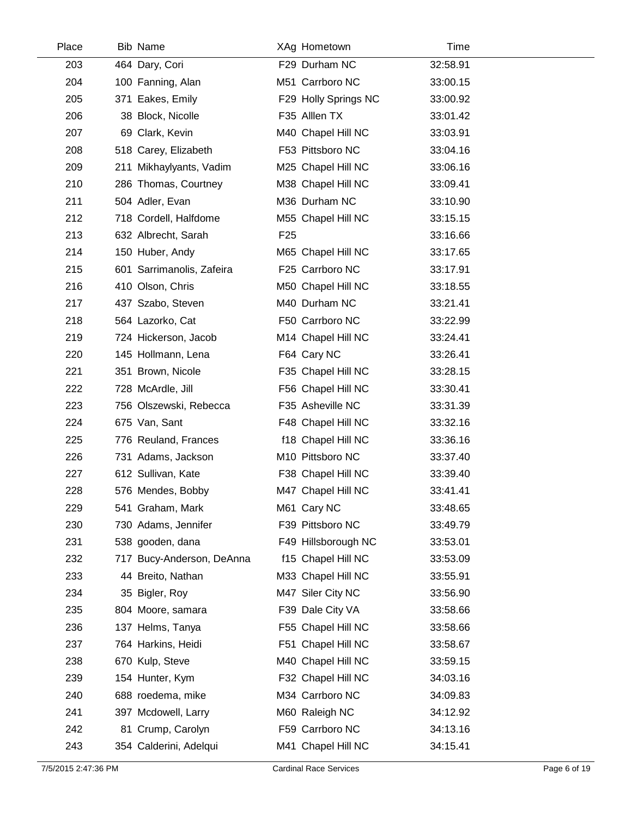| Place | <b>Bib Name</b>           | XAg Hometown         | Time     |  |
|-------|---------------------------|----------------------|----------|--|
| 203   | 464 Dary, Cori            | F29 Durham NC        | 32:58.91 |  |
| 204   | 100 Fanning, Alan         | M51 Carrboro NC      | 33:00.15 |  |
| 205   | 371 Eakes, Emily          | F29 Holly Springs NC | 33:00.92 |  |
| 206   | 38 Block, Nicolle         | F35 Alllen TX        | 33:01.42 |  |
| 207   | 69 Clark, Kevin           | M40 Chapel Hill NC   | 33:03.91 |  |
| 208   | 518 Carey, Elizabeth      | F53 Pittsboro NC     | 33:04.16 |  |
| 209   | 211 Mikhaylyants, Vadim   | M25 Chapel Hill NC   | 33:06.16 |  |
| 210   | 286 Thomas, Courtney      | M38 Chapel Hill NC   | 33:09.41 |  |
| 211   | 504 Adler, Evan           | M36 Durham NC        | 33:10.90 |  |
| 212   | 718 Cordell, Halfdome     | M55 Chapel Hill NC   | 33:15.15 |  |
| 213   | 632 Albrecht, Sarah       | F <sub>25</sub>      | 33:16.66 |  |
| 214   | 150 Huber, Andy           | M65 Chapel Hill NC   | 33:17.65 |  |
| 215   | 601 Sarrimanolis, Zafeira | F25 Carrboro NC      | 33:17.91 |  |
| 216   | 410 Olson, Chris          | M50 Chapel Hill NC   | 33:18.55 |  |
| 217   | 437 Szabo, Steven         | M40 Durham NC        | 33:21.41 |  |
| 218   | 564 Lazorko, Cat          | F50 Carrboro NC      | 33:22.99 |  |
| 219   | 724 Hickerson, Jacob      | M14 Chapel Hill NC   | 33:24.41 |  |
| 220   | 145 Hollmann, Lena        | F64 Cary NC          | 33:26.41 |  |
| 221   | 351 Brown, Nicole         | F35 Chapel Hill NC   | 33:28.15 |  |
| 222   | 728 McArdle, Jill         | F56 Chapel Hill NC   | 33:30.41 |  |
| 223   | 756 Olszewski, Rebecca    | F35 Asheville NC     | 33:31.39 |  |
| 224   | 675 Van, Sant             | F48 Chapel Hill NC   | 33:32.16 |  |
| 225   | 776 Reuland, Frances      | f18 Chapel Hill NC   | 33:36.16 |  |
| 226   | 731 Adams, Jackson        | M10 Pittsboro NC     | 33:37.40 |  |
| 227   | 612 Sullivan, Kate        | F38 Chapel Hill NC   | 33:39.40 |  |
| 228   | 576 Mendes, Bobby         | M47 Chapel Hill NC   | 33:41.41 |  |
| 229   | 541 Graham, Mark          | M61 Cary NC          | 33:48.65 |  |
| 230   | 730 Adams, Jennifer       | F39 Pittsboro NC     | 33:49.79 |  |
| 231   | 538 gooden, dana          | F49 Hillsborough NC  | 33:53.01 |  |
| 232   | 717 Bucy-Anderson, DeAnna | f15 Chapel Hill NC   | 33:53.09 |  |
| 233   | 44 Breito, Nathan         | M33 Chapel Hill NC   | 33:55.91 |  |
| 234   | 35 Bigler, Roy            | M47 Siler City NC    | 33:56.90 |  |
| 235   | 804 Moore, samara         | F39 Dale City VA     | 33:58.66 |  |
| 236   | 137 Helms, Tanya          | F55 Chapel Hill NC   | 33:58.66 |  |
| 237   | 764 Harkins, Heidi        | F51 Chapel Hill NC   | 33:58.67 |  |
| 238   | 670 Kulp, Steve           | M40 Chapel Hill NC   | 33:59.15 |  |
| 239   | 154 Hunter, Kym           | F32 Chapel Hill NC   | 34:03.16 |  |
| 240   | 688 roedema, mike         | M34 Carrboro NC      | 34:09.83 |  |
| 241   | 397 Mcdowell, Larry       | M60 Raleigh NC       | 34:12.92 |  |
| 242   | 81 Crump, Carolyn         | F59 Carrboro NC      | 34:13.16 |  |
| 243   | 354 Calderini, Adelqui    | M41 Chapel Hill NC   | 34:15.41 |  |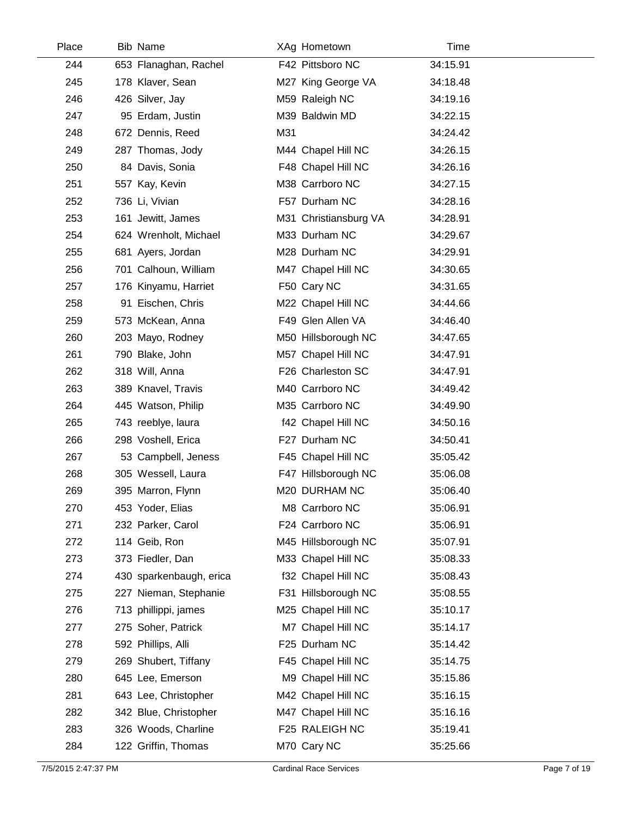| Place | <b>Bib Name</b>         | XAg Hometown          | Time     |  |
|-------|-------------------------|-----------------------|----------|--|
| 244   | 653 Flanaghan, Rachel   | F42 Pittsboro NC      | 34:15.91 |  |
| 245   | 178 Klaver, Sean        | M27 King George VA    | 34:18.48 |  |
| 246   | 426 Silver, Jay         | M59 Raleigh NC        | 34:19.16 |  |
| 247   | 95 Erdam, Justin        | M39 Baldwin MD        | 34:22.15 |  |
| 248   | 672 Dennis, Reed        | M31                   | 34:24.42 |  |
| 249   | 287 Thomas, Jody        | M44 Chapel Hill NC    | 34:26.15 |  |
| 250   | 84 Davis, Sonia         | F48 Chapel Hill NC    | 34:26.16 |  |
| 251   | 557 Kay, Kevin          | M38 Carrboro NC       | 34:27.15 |  |
| 252   | 736 Li, Vivian          | F57 Durham NC         | 34:28.16 |  |
| 253   | 161 Jewitt, James       | M31 Christiansburg VA | 34:28.91 |  |
| 254   | 624 Wrenholt, Michael   | M33 Durham NC         | 34:29.67 |  |
| 255   | 681 Ayers, Jordan       | M28 Durham NC         | 34:29.91 |  |
| 256   | 701 Calhoun, William    | M47 Chapel Hill NC    | 34:30.65 |  |
| 257   | 176 Kinyamu, Harriet    | F50 Cary NC           | 34:31.65 |  |
| 258   | 91 Eischen, Chris       | M22 Chapel Hill NC    | 34:44.66 |  |
| 259   | 573 McKean, Anna        | F49 Glen Allen VA     | 34:46.40 |  |
| 260   | 203 Mayo, Rodney        | M50 Hillsborough NC   | 34:47.65 |  |
| 261   | 790 Blake, John         | M57 Chapel Hill NC    | 34:47.91 |  |
| 262   | 318 Will, Anna          | F26 Charleston SC     | 34:47.91 |  |
| 263   | 389 Knavel, Travis      | M40 Carrboro NC       | 34:49.42 |  |
| 264   | 445 Watson, Philip      | M35 Carrboro NC       | 34:49.90 |  |
| 265   | 743 reeblye, laura      | f42 Chapel Hill NC    | 34:50.16 |  |
| 266   | 298 Voshell, Erica      | F27 Durham NC         | 34:50.41 |  |
| 267   | 53 Campbell, Jeness     | F45 Chapel Hill NC    | 35:05.42 |  |
| 268   | 305 Wessell, Laura      | F47 Hillsborough NC   | 35:06.08 |  |
| 269   | 395 Marron, Flynn       | M20 DURHAM NC         | 35:06.40 |  |
| 270   | 453 Yoder, Elias        | M8 Carrboro NC        | 35:06.91 |  |
| 271   | 232 Parker, Carol       | F24 Carrboro NC       | 35:06.91 |  |
| 272   | 114 Geib, Ron           | M45 Hillsborough NC   | 35:07.91 |  |
| 273   | 373 Fiedler, Dan        | M33 Chapel Hill NC    | 35:08.33 |  |
| 274   | 430 sparkenbaugh, erica | f32 Chapel Hill NC    | 35:08.43 |  |
| 275   | 227 Nieman, Stephanie   | F31 Hillsborough NC   | 35:08.55 |  |
| 276   | 713 phillippi, james    | M25 Chapel Hill NC    | 35:10.17 |  |
| 277   | 275 Soher, Patrick      | M7 Chapel Hill NC     | 35:14.17 |  |
| 278   | 592 Phillips, Alli      | F25 Durham NC         | 35:14.42 |  |
| 279   | 269 Shubert, Tiffany    | F45 Chapel Hill NC    | 35:14.75 |  |
| 280   | 645 Lee, Emerson        | M9 Chapel Hill NC     | 35:15.86 |  |
| 281   | 643 Lee, Christopher    | M42 Chapel Hill NC    | 35:16.15 |  |
| 282   | 342 Blue, Christopher   | M47 Chapel Hill NC    | 35:16.16 |  |
| 283   | 326 Woods, Charline     | F25 RALEIGH NC        | 35:19.41 |  |
| 284   | 122 Griffin, Thomas     | M70 Cary NC           | 35:25.66 |  |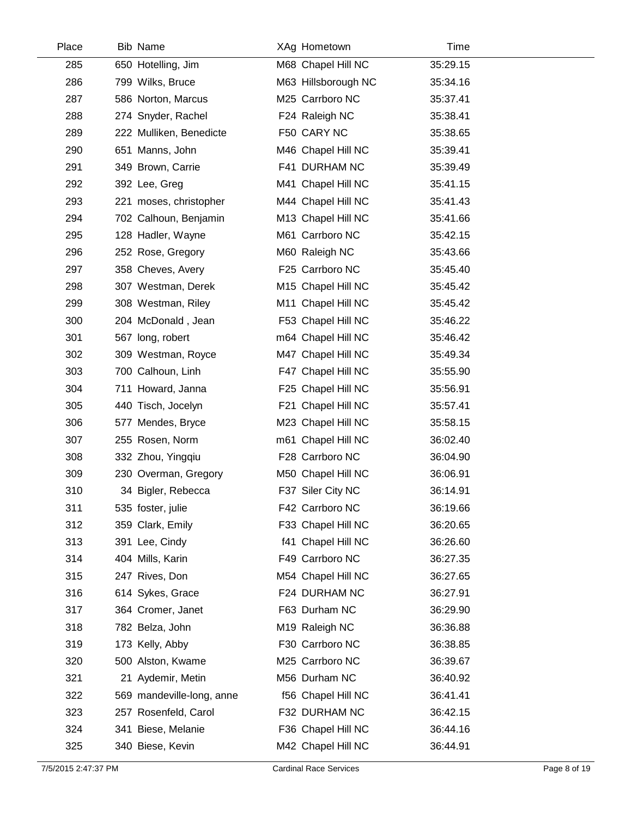| Place | <b>Bib Name</b>           | XAg Hometown        | Time     |  |
|-------|---------------------------|---------------------|----------|--|
| 285   | 650 Hotelling, Jim        | M68 Chapel Hill NC  | 35:29.15 |  |
| 286   | 799 Wilks, Bruce          | M63 Hillsborough NC | 35:34.16 |  |
| 287   | 586 Norton, Marcus        | M25 Carrboro NC     | 35:37.41 |  |
| 288   | 274 Snyder, Rachel        | F24 Raleigh NC      | 35:38.41 |  |
| 289   | 222 Mulliken, Benedicte   | F50 CARY NC         | 35:38.65 |  |
| 290   | 651 Manns, John           | M46 Chapel Hill NC  | 35:39.41 |  |
| 291   | 349 Brown, Carrie         | F41 DURHAM NC       | 35:39.49 |  |
| 292   | 392 Lee, Greg             | M41 Chapel Hill NC  | 35:41.15 |  |
| 293   | 221 moses, christopher    | M44 Chapel Hill NC  | 35:41.43 |  |
| 294   | 702 Calhoun, Benjamin     | M13 Chapel Hill NC  | 35:41.66 |  |
| 295   | 128 Hadler, Wayne         | M61 Carrboro NC     | 35:42.15 |  |
| 296   | 252 Rose, Gregory         | M60 Raleigh NC      | 35:43.66 |  |
| 297   | 358 Cheves, Avery         | F25 Carrboro NC     | 35:45.40 |  |
| 298   | 307 Westman, Derek        | M15 Chapel Hill NC  | 35:45.42 |  |
| 299   | 308 Westman, Riley        | M11 Chapel Hill NC  | 35:45.42 |  |
| 300   | 204 McDonald, Jean        | F53 Chapel Hill NC  | 35:46.22 |  |
| 301   | 567 long, robert          | m64 Chapel Hill NC  | 35:46.42 |  |
| 302   | 309 Westman, Royce        | M47 Chapel Hill NC  | 35:49.34 |  |
| 303   | 700 Calhoun, Linh         | F47 Chapel Hill NC  | 35:55.90 |  |
| 304   | 711 Howard, Janna         | F25 Chapel Hill NC  | 35:56.91 |  |
| 305   | 440 Tisch, Jocelyn        | F21 Chapel Hill NC  | 35:57.41 |  |
| 306   | 577 Mendes, Bryce         | M23 Chapel Hill NC  | 35:58.15 |  |
| 307   | 255 Rosen, Norm           | m61 Chapel Hill NC  | 36:02.40 |  |
| 308   | 332 Zhou, Yingqiu         | F28 Carrboro NC     | 36:04.90 |  |
| 309   | 230 Overman, Gregory      | M50 Chapel Hill NC  | 36:06.91 |  |
| 310   | 34 Bigler, Rebecca        | F37 Siler City NC   | 36:14.91 |  |
| 311   | 535 foster, julie         | F42 Carrboro NC     | 36:19.66 |  |
| 312   | 359 Clark, Emily          | F33 Chapel Hill NC  | 36:20.65 |  |
| 313   | 391 Lee, Cindy            | f41 Chapel Hill NC  | 36:26.60 |  |
| 314   | 404 Mills, Karin          | F49 Carrboro NC     | 36:27.35 |  |
| 315   | 247 Rives, Don            | M54 Chapel Hill NC  | 36:27.65 |  |
| 316   | 614 Sykes, Grace          | F24 DURHAM NC       | 36:27.91 |  |
| 317   | 364 Cromer, Janet         | F63 Durham NC       | 36:29.90 |  |
| 318   | 782 Belza, John           | M19 Raleigh NC      | 36:36.88 |  |
| 319   | 173 Kelly, Abby           | F30 Carrboro NC     | 36:38.85 |  |
| 320   | 500 Alston, Kwame         | M25 Carrboro NC     | 36:39.67 |  |
| 321   | 21 Aydemir, Metin         | M56 Durham NC       | 36:40.92 |  |
| 322   | 569 mandeville-long, anne | f56 Chapel Hill NC  | 36:41.41 |  |
| 323   | 257 Rosenfeld, Carol      | F32 DURHAM NC       | 36:42.15 |  |
| 324   | 341 Biese, Melanie        | F36 Chapel Hill NC  | 36:44.16 |  |
| 325   | 340 Biese, Kevin          | M42 Chapel Hill NC  | 36:44.91 |  |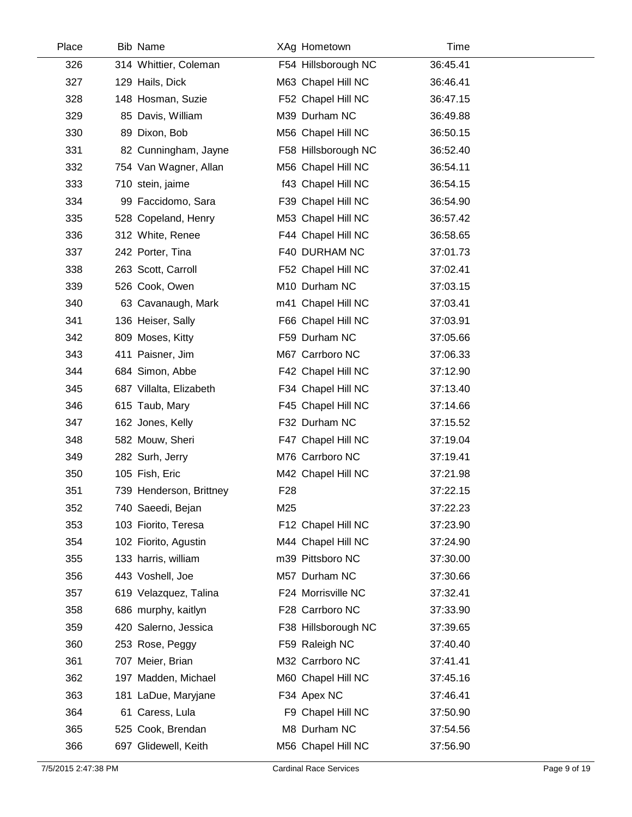| Place | <b>Bib Name</b>         |                 | XAg Hometown        | Time     |  |
|-------|-------------------------|-----------------|---------------------|----------|--|
| 326   | 314 Whittier, Coleman   |                 | F54 Hillsborough NC | 36:45.41 |  |
| 327   | 129 Hails, Dick         |                 | M63 Chapel Hill NC  | 36:46.41 |  |
| 328   | 148 Hosman, Suzie       |                 | F52 Chapel Hill NC  | 36:47.15 |  |
| 329   | 85 Davis, William       |                 | M39 Durham NC       | 36:49.88 |  |
| 330   | 89 Dixon, Bob           |                 | M56 Chapel Hill NC  | 36:50.15 |  |
| 331   | 82 Cunningham, Jayne    |                 | F58 Hillsborough NC | 36:52.40 |  |
| 332   | 754 Van Wagner, Allan   |                 | M56 Chapel Hill NC  | 36:54.11 |  |
| 333   | 710 stein, jaime        |                 | f43 Chapel Hill NC  | 36:54.15 |  |
| 334   | 99 Faccidomo, Sara      |                 | F39 Chapel Hill NC  | 36:54.90 |  |
| 335   | 528 Copeland, Henry     |                 | M53 Chapel Hill NC  | 36:57.42 |  |
| 336   | 312 White, Renee        |                 | F44 Chapel Hill NC  | 36:58.65 |  |
| 337   | 242 Porter, Tina        |                 | F40 DURHAM NC       | 37:01.73 |  |
| 338   | 263 Scott, Carroll      |                 | F52 Chapel Hill NC  | 37:02.41 |  |
| 339   | 526 Cook, Owen          |                 | M10 Durham NC       | 37:03.15 |  |
| 340   | 63 Cavanaugh, Mark      |                 | m41 Chapel Hill NC  | 37:03.41 |  |
| 341   | 136 Heiser, Sally       |                 | F66 Chapel Hill NC  | 37:03.91 |  |
| 342   | 809 Moses, Kitty        |                 | F59 Durham NC       | 37:05.66 |  |
| 343   | 411 Paisner, Jim        |                 | M67 Carrboro NC     | 37:06.33 |  |
| 344   | 684 Simon, Abbe         |                 | F42 Chapel Hill NC  | 37:12.90 |  |
| 345   | 687 Villalta, Elizabeth |                 | F34 Chapel Hill NC  | 37:13.40 |  |
| 346   | 615 Taub, Mary          |                 | F45 Chapel Hill NC  | 37:14.66 |  |
| 347   | 162 Jones, Kelly        |                 | F32 Durham NC       | 37:15.52 |  |
| 348   | 582 Mouw, Sheri         |                 | F47 Chapel Hill NC  | 37:19.04 |  |
| 349   | 282 Surh, Jerry         |                 | M76 Carrboro NC     | 37:19.41 |  |
| 350   | 105 Fish, Eric          |                 | M42 Chapel Hill NC  | 37:21.98 |  |
| 351   | 739 Henderson, Brittney | F <sub>28</sub> |                     | 37:22.15 |  |
| 352   | 740 Saeedi, Bejan       | M25             |                     | 37:22.23 |  |
| 353   | 103 Fiorito, Teresa     |                 | F12 Chapel Hill NC  | 37:23.90 |  |
| 354   | 102 Fiorito, Agustin    |                 | M44 Chapel Hill NC  | 37:24.90 |  |
| 355   | 133 harris, william     |                 | m39 Pittsboro NC    | 37:30.00 |  |
| 356   | 443 Voshell, Joe        |                 | M57 Durham NC       | 37:30.66 |  |
| 357   | 619 Velazquez, Talina   |                 | F24 Morrisville NC  | 37:32.41 |  |
| 358   | 686 murphy, kaitlyn     |                 | F28 Carrboro NC     | 37:33.90 |  |
| 359   | 420 Salerno, Jessica    |                 | F38 Hillsborough NC | 37:39.65 |  |
| 360   | 253 Rose, Peggy         |                 | F59 Raleigh NC      | 37:40.40 |  |
| 361   | 707 Meier, Brian        |                 | M32 Carrboro NC     | 37:41.41 |  |
| 362   | 197 Madden, Michael     |                 | M60 Chapel Hill NC  | 37:45.16 |  |
| 363   | 181 LaDue, Maryjane     |                 | F34 Apex NC         | 37:46.41 |  |
| 364   | 61 Caress, Lula         |                 | F9 Chapel Hill NC   | 37:50.90 |  |
| 365   | 525 Cook, Brendan       |                 | M8 Durham NC        | 37:54.56 |  |
| 366   | 697 Glidewell, Keith    |                 | M56 Chapel Hill NC  | 37:56.90 |  |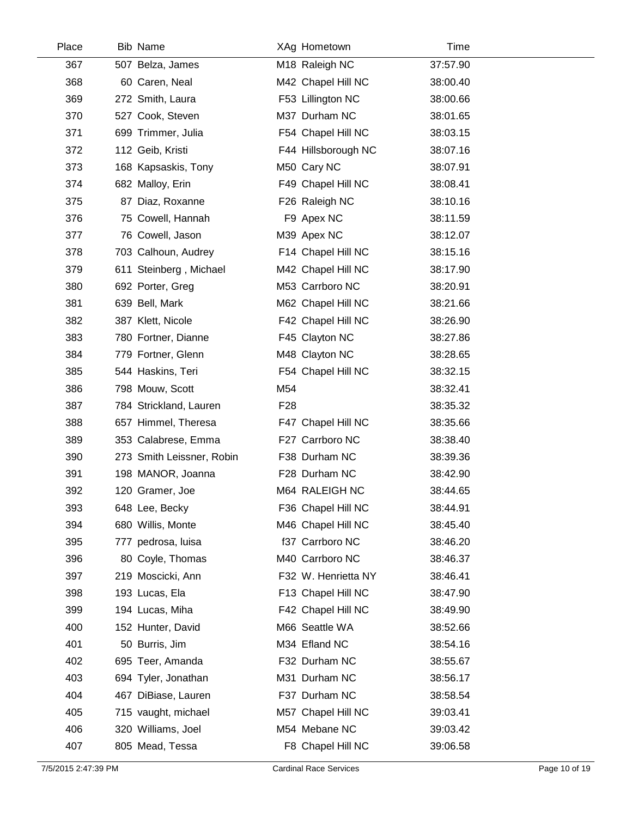| Place | <b>Bib Name</b>           |                 | XAg Hometown        | Time     |  |
|-------|---------------------------|-----------------|---------------------|----------|--|
| 367   | 507 Belza, James          |                 | M18 Raleigh NC      | 37:57.90 |  |
| 368   | 60 Caren, Neal            |                 | M42 Chapel Hill NC  | 38:00.40 |  |
| 369   | 272 Smith, Laura          |                 | F53 Lillington NC   | 38:00.66 |  |
| 370   | 527 Cook, Steven          |                 | M37 Durham NC       | 38:01.65 |  |
| 371   | 699 Trimmer, Julia        |                 | F54 Chapel Hill NC  | 38:03.15 |  |
| 372   | 112 Geib, Kristi          |                 | F44 Hillsborough NC | 38:07.16 |  |
| 373   | 168 Kapsaskis, Tony       |                 | M50 Cary NC         | 38:07.91 |  |
| 374   | 682 Malloy, Erin          |                 | F49 Chapel Hill NC  | 38:08.41 |  |
| 375   | 87 Diaz, Roxanne          |                 | F26 Raleigh NC      | 38:10.16 |  |
| 376   | 75 Cowell, Hannah         |                 | F9 Apex NC          | 38:11.59 |  |
| 377   | 76 Cowell, Jason          |                 | M39 Apex NC         | 38:12.07 |  |
| 378   | 703 Calhoun, Audrey       |                 | F14 Chapel Hill NC  | 38:15.16 |  |
| 379   | 611 Steinberg, Michael    |                 | M42 Chapel Hill NC  | 38:17.90 |  |
| 380   | 692 Porter, Greg          |                 | M53 Carrboro NC     | 38:20.91 |  |
| 381   | 639 Bell, Mark            |                 | M62 Chapel Hill NC  | 38:21.66 |  |
| 382   | 387 Klett, Nicole         |                 | F42 Chapel Hill NC  | 38:26.90 |  |
| 383   | 780 Fortner, Dianne       |                 | F45 Clayton NC      | 38:27.86 |  |
| 384   | 779 Fortner, Glenn        |                 | M48 Clayton NC      | 38:28.65 |  |
| 385   | 544 Haskins, Teri         |                 | F54 Chapel Hill NC  | 38:32.15 |  |
| 386   | 798 Mouw, Scott           | M54             |                     | 38:32.41 |  |
| 387   | 784 Strickland, Lauren    | F <sub>28</sub> |                     | 38:35.32 |  |
| 388   | 657 Himmel, Theresa       |                 | F47 Chapel Hill NC  | 38:35.66 |  |
| 389   | 353 Calabrese, Emma       |                 | F27 Carrboro NC     | 38:38.40 |  |
| 390   | 273 Smith Leissner, Robin |                 | F38 Durham NC       | 38:39.36 |  |
| 391   | 198 MANOR, Joanna         |                 | F28 Durham NC       | 38:42.90 |  |
| 392   | 120 Gramer, Joe           |                 | M64 RALEIGH NC      | 38:44.65 |  |
| 393   | 648 Lee, Becky            |                 | F36 Chapel Hill NC  | 38:44.91 |  |
| 394   | 680 Willis, Monte         |                 | M46 Chapel Hill NC  | 38:45.40 |  |
| 395   | 777 pedrosa, luisa        |                 | f37 Carrboro NC     | 38:46.20 |  |
| 396   | 80 Coyle, Thomas          |                 | M40 Carrboro NC     | 38:46.37 |  |
| 397   | 219 Moscicki, Ann         |                 | F32 W. Henrietta NY | 38:46.41 |  |
| 398   | 193 Lucas, Ela            |                 | F13 Chapel Hill NC  | 38:47.90 |  |
| 399   | 194 Lucas, Miha           |                 | F42 Chapel Hill NC  | 38:49.90 |  |
| 400   | 152 Hunter, David         |                 | M66 Seattle WA      | 38:52.66 |  |
| 401   | 50 Burris, Jim            |                 | M34 Efland NC       | 38:54.16 |  |
| 402   | 695 Teer, Amanda          |                 | F32 Durham NC       | 38:55.67 |  |
| 403   | 694 Tyler, Jonathan       |                 | M31 Durham NC       | 38:56.17 |  |
| 404   | 467 DiBiase, Lauren       |                 | F37 Durham NC       | 38:58.54 |  |
| 405   | 715 vaught, michael       |                 | M57 Chapel Hill NC  | 39:03.41 |  |
| 406   | 320 Williams, Joel        |                 | M54 Mebane NC       | 39:03.42 |  |
| 407   | 805 Mead, Tessa           |                 | F8 Chapel Hill NC   | 39:06.58 |  |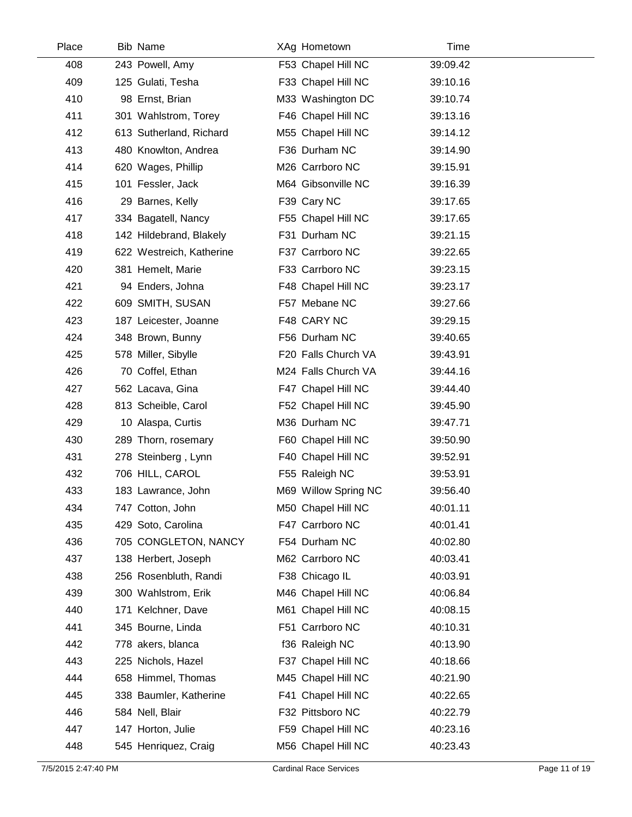| Place | <b>Bib Name</b>          | XAg Hometown         | Time     |  |
|-------|--------------------------|----------------------|----------|--|
| 408   | 243 Powell, Amy          | F53 Chapel Hill NC   | 39:09.42 |  |
| 409   | 125 Gulati, Tesha        | F33 Chapel Hill NC   | 39:10.16 |  |
| 410   | 98 Ernst, Brian          | M33 Washington DC    | 39:10.74 |  |
| 411   | 301 Wahlstrom, Torey     | F46 Chapel Hill NC   | 39:13.16 |  |
| 412   | 613 Sutherland, Richard  | M55 Chapel Hill NC   | 39:14.12 |  |
| 413   | 480 Knowlton, Andrea     | F36 Durham NC        | 39:14.90 |  |
| 414   | 620 Wages, Phillip       | M26 Carrboro NC      | 39:15.91 |  |
| 415   | 101 Fessler, Jack        | M64 Gibsonville NC   | 39:16.39 |  |
| 416   | 29 Barnes, Kelly         | F39 Cary NC          | 39:17.65 |  |
| 417   | 334 Bagatell, Nancy      | F55 Chapel Hill NC   | 39:17.65 |  |
| 418   | 142 Hildebrand, Blakely  | F31 Durham NC        | 39:21.15 |  |
| 419   | 622 Westreich, Katherine | F37 Carrboro NC      | 39:22.65 |  |
| 420   | 381 Hemelt, Marie        | F33 Carrboro NC      | 39:23.15 |  |
| 421   | 94 Enders, Johna         | F48 Chapel Hill NC   | 39:23.17 |  |
| 422   | 609 SMITH, SUSAN         | F57 Mebane NC        | 39:27.66 |  |
| 423   | 187 Leicester, Joanne    | F48 CARY NC          | 39:29.15 |  |
| 424   | 348 Brown, Bunny         | F56 Durham NC        | 39:40.65 |  |
| 425   | 578 Miller, Sibylle      | F20 Falls Church VA  | 39:43.91 |  |
| 426   | 70 Coffel, Ethan         | M24 Falls Church VA  | 39:44.16 |  |
| 427   | 562 Lacava, Gina         | F47 Chapel Hill NC   | 39:44.40 |  |
| 428   | 813 Scheible, Carol      | F52 Chapel Hill NC   | 39:45.90 |  |
| 429   | 10 Alaspa, Curtis        | M36 Durham NC        | 39:47.71 |  |
| 430   | 289 Thorn, rosemary      | F60 Chapel Hill NC   | 39:50.90 |  |
| 431   | 278 Steinberg, Lynn      | F40 Chapel Hill NC   | 39:52.91 |  |
| 432   | 706 HILL, CAROL          | F55 Raleigh NC       | 39:53.91 |  |
| 433   | 183 Lawrance, John       | M69 Willow Spring NC | 39:56.40 |  |
| 434   | 747 Cotton, John         | M50 Chapel Hill NC   | 40:01.11 |  |
| 435   | 429 Soto, Carolina       | F47 Carrboro NC      | 40:01.41 |  |
| 436   | 705 CONGLETON, NANCY     | F54 Durham NC        | 40:02.80 |  |
| 437   | 138 Herbert, Joseph      | M62 Carrboro NC      | 40:03.41 |  |
| 438   | 256 Rosenbluth, Randi    | F38 Chicago IL       | 40:03.91 |  |
| 439   | 300 Wahlstrom, Erik      | M46 Chapel Hill NC   | 40:06.84 |  |
| 440   | 171 Kelchner, Dave       | M61 Chapel Hill NC   | 40:08.15 |  |
| 441   | 345 Bourne, Linda        | F51 Carrboro NC      | 40:10.31 |  |
| 442   | 778 akers, blanca        | f36 Raleigh NC       | 40:13.90 |  |
| 443   | 225 Nichols, Hazel       | F37 Chapel Hill NC   | 40:18.66 |  |
| 444   | 658 Himmel, Thomas       | M45 Chapel Hill NC   | 40:21.90 |  |
| 445   | 338 Baumler, Katherine   | F41 Chapel Hill NC   | 40:22.65 |  |
| 446   | 584 Nell, Blair          | F32 Pittsboro NC     | 40:22.79 |  |
| 447   | 147 Horton, Julie        | F59 Chapel Hill NC   | 40:23.16 |  |
| 448   | 545 Henriquez, Craig     | M56 Chapel Hill NC   | 40:23.43 |  |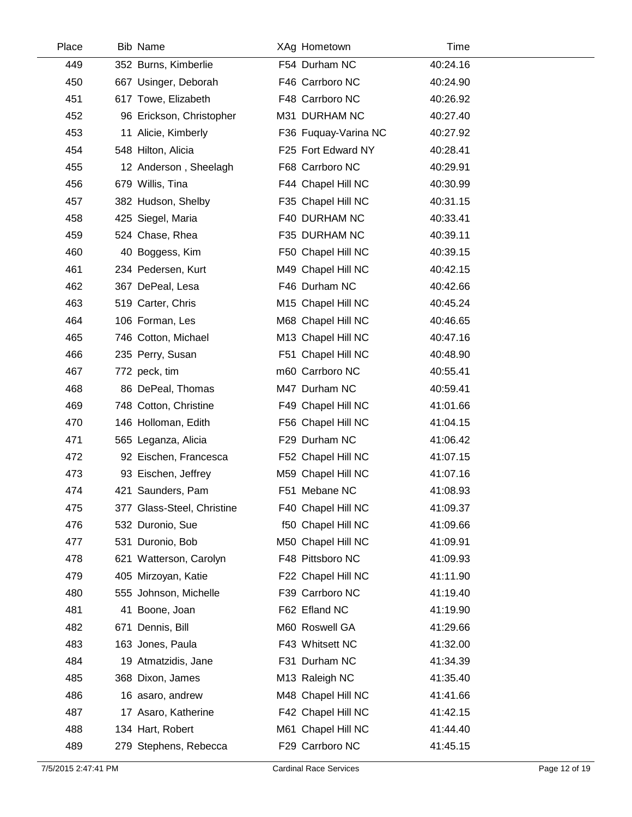| Place | <b>Bib Name</b>            | XAg Hometown         | Time     |  |
|-------|----------------------------|----------------------|----------|--|
| 449   | 352 Burns, Kimberlie       | F54 Durham NC        | 40:24.16 |  |
| 450   | 667 Usinger, Deborah       | F46 Carrboro NC      | 40:24.90 |  |
| 451   | 617 Towe, Elizabeth        | F48 Carrboro NC      | 40:26.92 |  |
| 452   | 96 Erickson, Christopher   | M31 DURHAM NC        | 40:27.40 |  |
| 453   | 11 Alicie, Kimberly        | F36 Fuquay-Varina NC | 40:27.92 |  |
| 454   | 548 Hilton, Alicia         | F25 Fort Edward NY   | 40:28.41 |  |
| 455   | 12 Anderson, Sheelagh      | F68 Carrboro NC      | 40:29.91 |  |
| 456   | 679 Willis, Tina           | F44 Chapel Hill NC   | 40:30.99 |  |
| 457   | 382 Hudson, Shelby         | F35 Chapel Hill NC   | 40:31.15 |  |
| 458   | 425 Siegel, Maria          | F40 DURHAM NC        | 40:33.41 |  |
| 459   | 524 Chase, Rhea            | F35 DURHAM NC        | 40:39.11 |  |
| 460   | 40 Boggess, Kim            | F50 Chapel Hill NC   | 40:39.15 |  |
| 461   | 234 Pedersen, Kurt         | M49 Chapel Hill NC   | 40:42.15 |  |
| 462   | 367 DePeal, Lesa           | F46 Durham NC        | 40:42.66 |  |
| 463   | 519 Carter, Chris          | M15 Chapel Hill NC   | 40:45.24 |  |
| 464   | 106 Forman, Les            | M68 Chapel Hill NC   | 40:46.65 |  |
| 465   | 746 Cotton, Michael        | M13 Chapel Hill NC   | 40:47.16 |  |
| 466   | 235 Perry, Susan           | F51 Chapel Hill NC   | 40:48.90 |  |
| 467   | 772 peck, tim              | m60 Carrboro NC      | 40:55.41 |  |
| 468   | 86 DePeal, Thomas          | M47 Durham NC        | 40:59.41 |  |
| 469   | 748 Cotton, Christine      | F49 Chapel Hill NC   | 41:01.66 |  |
| 470   | 146 Holloman, Edith        | F56 Chapel Hill NC   | 41:04.15 |  |
| 471   | 565 Leganza, Alicia        | F29 Durham NC        | 41:06.42 |  |
| 472   | 92 Eischen, Francesca      | F52 Chapel Hill NC   | 41:07.15 |  |
| 473   | 93 Eischen, Jeffrey        | M59 Chapel Hill NC   | 41:07.16 |  |
| 474   | 421 Saunders, Pam          | F51 Mebane NC        | 41:08.93 |  |
| 475   | 377 Glass-Steel, Christine | F40 Chapel Hill NC   | 41:09.37 |  |
| 476   | 532 Duronio, Sue           | f50 Chapel Hill NC   | 41:09.66 |  |
| 477   | 531 Duronio, Bob           | M50 Chapel Hill NC   | 41:09.91 |  |
| 478   | 621 Watterson, Carolyn     | F48 Pittsboro NC     | 41:09.93 |  |
| 479   | 405 Mirzoyan, Katie        | F22 Chapel Hill NC   | 41:11.90 |  |
| 480   | 555 Johnson, Michelle      | F39 Carrboro NC      | 41:19.40 |  |
| 481   | 41 Boone, Joan             | F62 Efland NC        | 41:19.90 |  |
| 482   | 671 Dennis, Bill           | M60 Roswell GA       | 41:29.66 |  |
| 483   | 163 Jones, Paula           | F43 Whitsett NC      | 41:32.00 |  |
| 484   | 19 Atmatzidis, Jane        | F31 Durham NC        | 41:34.39 |  |
| 485   | 368 Dixon, James           | M13 Raleigh NC       | 41:35.40 |  |
| 486   | 16 asaro, andrew           | M48 Chapel Hill NC   | 41:41.66 |  |
| 487   | 17 Asaro, Katherine        | F42 Chapel Hill NC   | 41:42.15 |  |
| 488   | 134 Hart, Robert           | M61 Chapel Hill NC   | 41:44.40 |  |
| 489   | 279 Stephens, Rebecca      | F29 Carrboro NC      | 41:45.15 |  |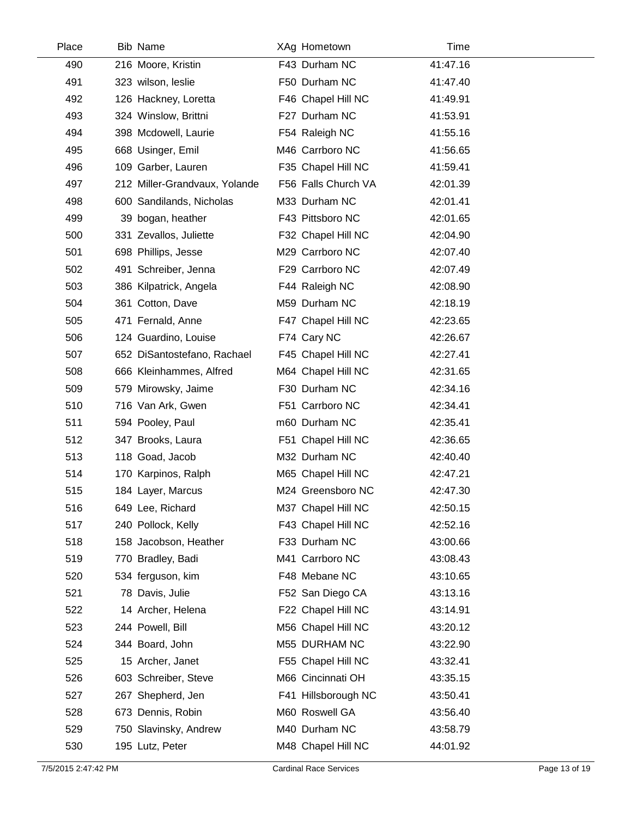| Place | <b>Bib Name</b>               | XAg Hometown        | Time     |  |
|-------|-------------------------------|---------------------|----------|--|
| 490   | 216 Moore, Kristin            | F43 Durham NC       | 41:47.16 |  |
| 491   | 323 wilson, leslie            | F50 Durham NC       | 41:47.40 |  |
| 492   | 126 Hackney, Loretta          | F46 Chapel Hill NC  | 41:49.91 |  |
| 493   | 324 Winslow, Brittni          | F27 Durham NC       | 41:53.91 |  |
| 494   | 398 Mcdowell, Laurie          | F54 Raleigh NC      | 41:55.16 |  |
| 495   | 668 Usinger, Emil             | M46 Carrboro NC     | 41:56.65 |  |
| 496   | 109 Garber, Lauren            | F35 Chapel Hill NC  | 41:59.41 |  |
| 497   | 212 Miller-Grandvaux, Yolande | F56 Falls Church VA | 42:01.39 |  |
| 498   | 600 Sandilands, Nicholas      | M33 Durham NC       | 42:01.41 |  |
| 499   | 39 bogan, heather             | F43 Pittsboro NC    | 42:01.65 |  |
| 500   | 331 Zevallos, Juliette        | F32 Chapel Hill NC  | 42:04.90 |  |
| 501   | 698 Phillips, Jesse           | M29 Carrboro NC     | 42:07.40 |  |
| 502   | 491 Schreiber, Jenna          | F29 Carrboro NC     | 42:07.49 |  |
| 503   | 386 Kilpatrick, Angela        | F44 Raleigh NC      | 42:08.90 |  |
| 504   | 361 Cotton, Dave              | M59 Durham NC       | 42:18.19 |  |
| 505   | 471 Fernald, Anne             | F47 Chapel Hill NC  | 42:23.65 |  |
| 506   | 124 Guardino, Louise          | F74 Cary NC         | 42:26.67 |  |
| 507   | 652 DiSantostefano, Rachael   | F45 Chapel Hill NC  | 42:27.41 |  |
| 508   | 666 Kleinhammes, Alfred       | M64 Chapel Hill NC  | 42:31.65 |  |
| 509   | 579 Mirowsky, Jaime           | F30 Durham NC       | 42:34.16 |  |
| 510   | 716 Van Ark, Gwen             | F51 Carrboro NC     | 42:34.41 |  |
| 511   | 594 Pooley, Paul              | m60 Durham NC       | 42:35.41 |  |
| 512   | 347 Brooks, Laura             | F51 Chapel Hill NC  | 42:36.65 |  |
| 513   | 118 Goad, Jacob               | M32 Durham NC       | 42:40.40 |  |
| 514   | 170 Karpinos, Ralph           | M65 Chapel Hill NC  | 42:47.21 |  |
| 515   | 184 Layer, Marcus             | M24 Greensboro NC   | 42:47.30 |  |
| 516   | 649 Lee, Richard              | M37 Chapel Hill NC  | 42:50.15 |  |
| 517   | 240 Pollock, Kelly            | F43 Chapel Hill NC  | 42:52.16 |  |
| 518   | 158 Jacobson, Heather         | F33 Durham NC       | 43:00.66 |  |
| 519   | 770 Bradley, Badi             | M41 Carrboro NC     | 43:08.43 |  |
| 520   | 534 ferguson, kim             | F48 Mebane NC       | 43:10.65 |  |
| 521   | 78 Davis, Julie               | F52 San Diego CA    | 43:13.16 |  |
| 522   | 14 Archer, Helena             | F22 Chapel Hill NC  | 43:14.91 |  |
| 523   | 244 Powell, Bill              | M56 Chapel Hill NC  | 43:20.12 |  |
| 524   | 344 Board, John               | M55 DURHAM NC       | 43:22.90 |  |
| 525   | 15 Archer, Janet              | F55 Chapel Hill NC  | 43:32.41 |  |
| 526   | 603 Schreiber, Steve          | M66 Cincinnati OH   | 43:35.15 |  |
| 527   | 267 Shepherd, Jen             | F41 Hillsborough NC | 43:50.41 |  |
| 528   | 673 Dennis, Robin             | M60 Roswell GA      | 43:56.40 |  |
| 529   | 750 Slavinsky, Andrew         | M40 Durham NC       | 43:58.79 |  |
| 530   | 195 Lutz, Peter               | M48 Chapel Hill NC  | 44:01.92 |  |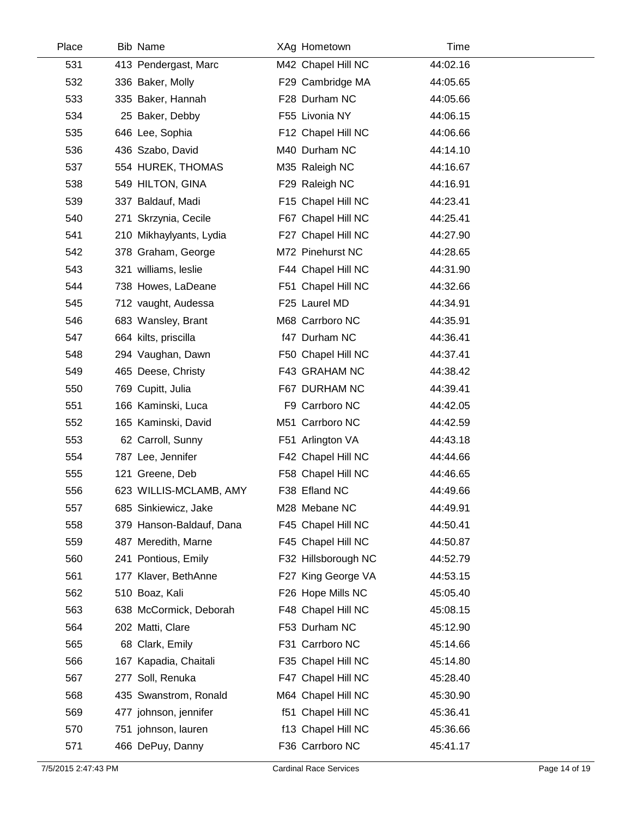| Place | <b>Bib Name</b>          | XAg Hometown        | Time     |  |
|-------|--------------------------|---------------------|----------|--|
| 531   | 413 Pendergast, Marc     | M42 Chapel Hill NC  | 44:02.16 |  |
| 532   | 336 Baker, Molly         | F29 Cambridge MA    | 44:05.65 |  |
| 533   | 335 Baker, Hannah        | F28 Durham NC       | 44:05.66 |  |
| 534   | 25 Baker, Debby          | F55 Livonia NY      | 44:06.15 |  |
| 535   | 646 Lee, Sophia          | F12 Chapel Hill NC  | 44:06.66 |  |
| 536   | 436 Szabo, David         | M40 Durham NC       | 44:14.10 |  |
| 537   | 554 HUREK, THOMAS        | M35 Raleigh NC      | 44:16.67 |  |
| 538   | 549 HILTON, GINA         | F29 Raleigh NC      | 44:16.91 |  |
| 539   | 337 Baldauf, Madi        | F15 Chapel Hill NC  | 44:23.41 |  |
| 540   | 271 Skrzynia, Cecile     | F67 Chapel Hill NC  | 44:25.41 |  |
| 541   | 210 Mikhaylyants, Lydia  | F27 Chapel Hill NC  | 44:27.90 |  |
| 542   | 378 Graham, George       | M72 Pinehurst NC    | 44:28.65 |  |
| 543   | 321 williams, leslie     | F44 Chapel Hill NC  | 44:31.90 |  |
| 544   | 738 Howes, LaDeane       | F51 Chapel Hill NC  | 44:32.66 |  |
| 545   | 712 vaught, Audessa      | F25 Laurel MD       | 44:34.91 |  |
| 546   | 683 Wansley, Brant       | M68 Carrboro NC     | 44:35.91 |  |
| 547   | 664 kilts, priscilla     | f47 Durham NC       | 44:36.41 |  |
| 548   | 294 Vaughan, Dawn        | F50 Chapel Hill NC  | 44:37.41 |  |
| 549   | 465 Deese, Christy       | F43 GRAHAM NC       | 44:38.42 |  |
| 550   | 769 Cupitt, Julia        | F67 DURHAM NC       | 44:39.41 |  |
| 551   | 166 Kaminski, Luca       | F9 Carrboro NC      | 44:42.05 |  |
| 552   | 165 Kaminski, David      | M51 Carrboro NC     | 44:42.59 |  |
| 553   | 62 Carroll, Sunny        | F51 Arlington VA    | 44:43.18 |  |
| 554   | 787 Lee, Jennifer        | F42 Chapel Hill NC  | 44:44.66 |  |
| 555   | 121 Greene, Deb          | F58 Chapel Hill NC  | 44:46.65 |  |
| 556   | 623 WILLIS-MCLAMB, AMY   | F38 Efland NC       | 44:49.66 |  |
| 557   | 685 Sinkiewicz, Jake     | M28 Mebane NC       | 44:49.91 |  |
| 558   | 379 Hanson-Baldauf, Dana | F45 Chapel Hill NC  | 44:50.41 |  |
| 559   | 487 Meredith, Marne      | F45 Chapel Hill NC  | 44:50.87 |  |
| 560   | 241 Pontious, Emily      | F32 Hillsborough NC | 44:52.79 |  |
| 561   | 177 Klaver, BethAnne     | F27 King George VA  | 44:53.15 |  |
| 562   | 510 Boaz, Kali           | F26 Hope Mills NC   | 45:05.40 |  |
| 563   | 638 McCormick, Deborah   | F48 Chapel Hill NC  | 45:08.15 |  |
| 564   | 202 Matti, Clare         | F53 Durham NC       | 45:12.90 |  |
| 565   | 68 Clark, Emily          | F31 Carrboro NC     | 45:14.66 |  |
| 566   | 167 Kapadia, Chaitali    | F35 Chapel Hill NC  | 45:14.80 |  |
| 567   | 277 Soll, Renuka         | F47 Chapel Hill NC  | 45:28.40 |  |
| 568   | 435 Swanstrom, Ronald    | M64 Chapel Hill NC  | 45:30.90 |  |
| 569   | 477 johnson, jennifer    | f51 Chapel Hill NC  | 45:36.41 |  |
| 570   | 751 johnson, lauren      | f13 Chapel Hill NC  | 45:36.66 |  |
| 571   | 466 DePuy, Danny         | F36 Carrboro NC     | 45:41.17 |  |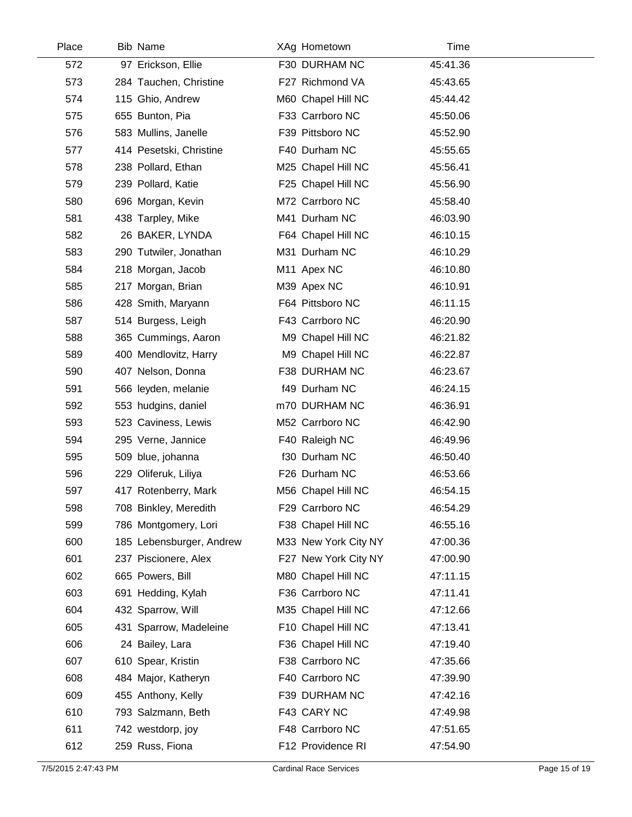| Place | <b>Bib Name</b>          | XAg Hometown         | Time     |  |
|-------|--------------------------|----------------------|----------|--|
| 572   | 97 Erickson, Ellie       | F30 DURHAM NC        | 45:41.36 |  |
| 573   | 284 Tauchen, Christine   | F27 Richmond VA      | 45:43.65 |  |
| 574   | 115 Ghio, Andrew         | M60 Chapel Hill NC   | 45:44.42 |  |
| 575   | 655 Bunton, Pia          | F33 Carrboro NC      | 45:50.06 |  |
| 576   | 583 Mullins, Janelle     | F39 Pittsboro NC     | 45:52.90 |  |
| 577   | 414 Pesetski, Christine  | F40 Durham NC        | 45:55.65 |  |
| 578   | 238 Pollard, Ethan       | M25 Chapel Hill NC   | 45:56.41 |  |
| 579   | 239 Pollard, Katie       | F25 Chapel Hill NC   | 45:56.90 |  |
| 580   | 696 Morgan, Kevin        | M72 Carrboro NC      | 45:58.40 |  |
| 581   | 438 Tarpley, Mike        | M41 Durham NC        | 46:03.90 |  |
| 582   | 26 BAKER, LYNDA          | F64 Chapel Hill NC   | 46:10.15 |  |
| 583   | 290 Tutwiler, Jonathan   | M31 Durham NC        | 46:10.29 |  |
| 584   | 218 Morgan, Jacob        | M11 Apex NC          | 46:10.80 |  |
| 585   | 217 Morgan, Brian        | M39 Apex NC          | 46:10.91 |  |
| 586   | 428 Smith, Maryann       | F64 Pittsboro NC     | 46:11.15 |  |
| 587   | 514 Burgess, Leigh       | F43 Carrboro NC      | 46:20.90 |  |
| 588   | 365 Cummings, Aaron      | M9 Chapel Hill NC    | 46:21.82 |  |
| 589   | 400 Mendlovitz, Harry    | M9 Chapel Hill NC    | 46:22.87 |  |
| 590   | 407 Nelson, Donna        | F38 DURHAM NC        | 46:23.67 |  |
| 591   | 566 leyden, melanie      | f49 Durham NC        | 46:24.15 |  |
| 592   | 553 hudgins, daniel      | m70 DURHAM NC        | 46:36.91 |  |
| 593   | 523 Caviness, Lewis      | M52 Carrboro NC      | 46:42.90 |  |
| 594   | 295 Verne, Jannice       | F40 Raleigh NC       | 46:49.96 |  |
| 595   | 509 blue, johanna        | f30 Durham NC        | 46:50.40 |  |
| 596   | 229 Oliferuk, Liliya     | F26 Durham NC        | 46:53.66 |  |
| 597   | 417 Rotenberry, Mark     | M56 Chapel Hill NC   | 46:54.15 |  |
| 598   | 708 Binkley, Meredith    | F29 Carrboro NC      | 46:54.29 |  |
| 599   | 786 Montgomery, Lori     | F38 Chapel Hill NC   | 46:55.16 |  |
| 600   | 185 Lebensburger, Andrew | M33 New York City NY | 47:00.36 |  |
| 601   | 237 Piscionere, Alex     | F27 New York City NY | 47:00.90 |  |
| 602   | 665 Powers, Bill         | M80 Chapel Hill NC   | 47:11.15 |  |
| 603   | 691 Hedding, Kylah       | F36 Carrboro NC      | 47:11.41 |  |
| 604   | 432 Sparrow, Will        | M35 Chapel Hill NC   | 47:12.66 |  |
| 605   | 431 Sparrow, Madeleine   | F10 Chapel Hill NC   | 47:13.41 |  |
| 606   | 24 Bailey, Lara          | F36 Chapel Hill NC   | 47:19.40 |  |
| 607   | 610 Spear, Kristin       | F38 Carrboro NC      | 47:35.66 |  |
| 608   | 484 Major, Katheryn      | F40 Carrboro NC      | 47:39.90 |  |
| 609   | 455 Anthony, Kelly       | F39 DURHAM NC        | 47:42.16 |  |
| 610   | 793 Salzmann, Beth       | F43 CARY NC          | 47:49.98 |  |
| 611   | 742 westdorp, joy        | F48 Carrboro NC      | 47:51.65 |  |
| 612   | 259 Russ, Fiona          | F12 Providence RI    | 47:54.90 |  |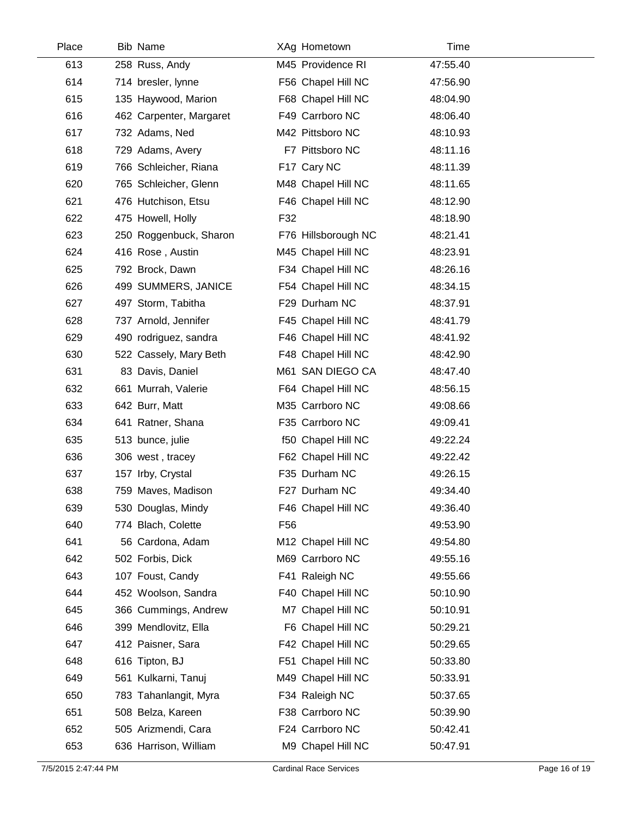| Place | <b>Bib Name</b>         | XAg Hometown        | Time     |  |
|-------|-------------------------|---------------------|----------|--|
| 613   | 258 Russ, Andy          | M45 Providence RI   | 47:55.40 |  |
| 614   | 714 bresler, lynne      | F56 Chapel Hill NC  | 47:56.90 |  |
| 615   | 135 Haywood, Marion     | F68 Chapel Hill NC  | 48:04.90 |  |
| 616   | 462 Carpenter, Margaret | F49 Carrboro NC     | 48:06.40 |  |
| 617   | 732 Adams, Ned          | M42 Pittsboro NC    | 48:10.93 |  |
| 618   | 729 Adams, Avery        | F7 Pittsboro NC     | 48:11.16 |  |
| 619   | 766 Schleicher, Riana   | F17 Cary NC         | 48:11.39 |  |
| 620   | 765 Schleicher, Glenn   | M48 Chapel Hill NC  | 48:11.65 |  |
| 621   | 476 Hutchison, Etsu     | F46 Chapel Hill NC  | 48:12.90 |  |
| 622   | 475 Howell, Holly       | F32                 | 48:18.90 |  |
| 623   | 250 Roggenbuck, Sharon  | F76 Hillsborough NC | 48:21.41 |  |
| 624   | 416 Rose, Austin        | M45 Chapel Hill NC  | 48:23.91 |  |
| 625   | 792 Brock, Dawn         | F34 Chapel Hill NC  | 48:26.16 |  |
| 626   | 499 SUMMERS, JANICE     | F54 Chapel Hill NC  | 48:34.15 |  |
| 627   | 497 Storm, Tabitha      | F29 Durham NC       | 48:37.91 |  |
| 628   | 737 Arnold, Jennifer    | F45 Chapel Hill NC  | 48:41.79 |  |
| 629   | 490 rodriguez, sandra   | F46 Chapel Hill NC  | 48:41.92 |  |
| 630   | 522 Cassely, Mary Beth  | F48 Chapel Hill NC  | 48:42.90 |  |
| 631   | 83 Davis, Daniel        | M61 SAN DIEGO CA    | 48:47.40 |  |
| 632   | 661 Murrah, Valerie     | F64 Chapel Hill NC  | 48:56.15 |  |
| 633   | 642 Burr, Matt          | M35 Carrboro NC     | 49:08.66 |  |
| 634   | 641 Ratner, Shana       | F35 Carrboro NC     | 49:09.41 |  |
| 635   | 513 bunce, julie        | f50 Chapel Hill NC  | 49:22.24 |  |
| 636   | 306 west, tracey        | F62 Chapel Hill NC  | 49:22.42 |  |
| 637   | 157 Irby, Crystal       | F35 Durham NC       | 49:26.15 |  |
| 638   | 759 Maves, Madison      | F27 Durham NC       | 49:34.40 |  |
| 639   | 530 Douglas, Mindy      | F46 Chapel Hill NC  | 49:36.40 |  |
| 640   | 774 Blach, Colette      | F <sub>56</sub>     | 49:53.90 |  |
| 641   | 56 Cardona, Adam        | M12 Chapel Hill NC  | 49:54.80 |  |
| 642   | 502 Forbis, Dick        | M69 Carrboro NC     | 49:55.16 |  |
| 643   | 107 Foust, Candy        | F41 Raleigh NC      | 49:55.66 |  |
| 644   | 452 Woolson, Sandra     | F40 Chapel Hill NC  | 50:10.90 |  |
| 645   | 366 Cummings, Andrew    | M7 Chapel Hill NC   | 50:10.91 |  |
| 646   | 399 Mendlovitz, Ella    | F6 Chapel Hill NC   | 50:29.21 |  |
| 647   | 412 Paisner, Sara       | F42 Chapel Hill NC  | 50:29.65 |  |
| 648   | 616 Tipton, BJ          | F51 Chapel Hill NC  | 50:33.80 |  |
| 649   | 561 Kulkarni, Tanuj     | M49 Chapel Hill NC  | 50:33.91 |  |
| 650   | 783 Tahanlangit, Myra   | F34 Raleigh NC      | 50:37.65 |  |
| 651   | 508 Belza, Kareen       | F38 Carrboro NC     | 50:39.90 |  |
| 652   | 505 Arizmendi, Cara     | F24 Carrboro NC     | 50:42.41 |  |
| 653   | 636 Harrison, William   | M9 Chapel Hill NC   | 50:47.91 |  |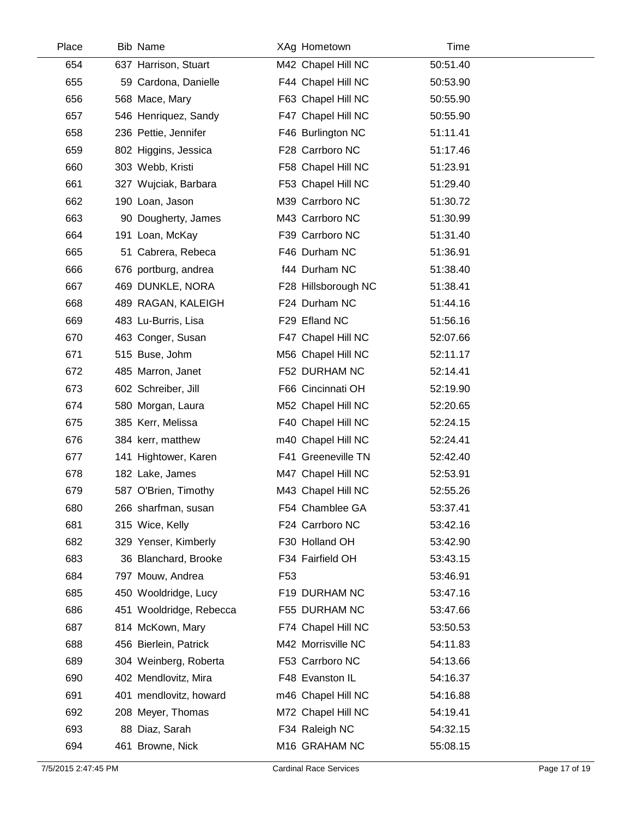| Place | <b>Bib Name</b>         | XAg Hometown        | Time     |  |
|-------|-------------------------|---------------------|----------|--|
| 654   | 637 Harrison, Stuart    | M42 Chapel Hill NC  | 50:51.40 |  |
| 655   | 59 Cardona, Danielle    | F44 Chapel Hill NC  | 50:53.90 |  |
| 656   | 568 Mace, Mary          | F63 Chapel Hill NC  | 50:55.90 |  |
| 657   | 546 Henriquez, Sandy    | F47 Chapel Hill NC  | 50:55.90 |  |
| 658   | 236 Pettie, Jennifer    | F46 Burlington NC   | 51:11.41 |  |
| 659   | 802 Higgins, Jessica    | F28 Carrboro NC     | 51:17.46 |  |
| 660   | 303 Webb, Kristi        | F58 Chapel Hill NC  | 51:23.91 |  |
| 661   | 327 Wujciak, Barbara    | F53 Chapel Hill NC  | 51:29.40 |  |
| 662   | 190 Loan, Jason         | M39 Carrboro NC     | 51:30.72 |  |
| 663   | 90 Dougherty, James     | M43 Carrboro NC     | 51:30.99 |  |
| 664   | 191 Loan, McKay         | F39 Carrboro NC     | 51:31.40 |  |
| 665   | 51 Cabrera, Rebeca      | F46 Durham NC       | 51:36.91 |  |
| 666   | 676 portburg, andrea    | f44 Durham NC       | 51:38.40 |  |
| 667   | 469 DUNKLE, NORA        | F28 Hillsborough NC | 51:38.41 |  |
| 668   | 489 RAGAN, KALEIGH      | F24 Durham NC       | 51:44.16 |  |
| 669   | 483 Lu-Burris, Lisa     | F29 Efland NC       | 51:56.16 |  |
| 670   | 463 Conger, Susan       | F47 Chapel Hill NC  | 52:07.66 |  |
| 671   | 515 Buse, Johm          | M56 Chapel Hill NC  | 52:11.17 |  |
| 672   | 485 Marron, Janet       | F52 DURHAM NC       | 52:14.41 |  |
| 673   | 602 Schreiber, Jill     | F66 Cincinnati OH   | 52:19.90 |  |
| 674   | 580 Morgan, Laura       | M52 Chapel Hill NC  | 52:20.65 |  |
| 675   | 385 Kerr, Melissa       | F40 Chapel Hill NC  | 52:24.15 |  |
| 676   | 384 kerr, matthew       | m40 Chapel Hill NC  | 52:24.41 |  |
| 677   | 141 Hightower, Karen    | F41 Greeneville TN  | 52:42.40 |  |
| 678   | 182 Lake, James         | M47 Chapel Hill NC  | 52:53.91 |  |
| 679   | 587 O'Brien, Timothy    | M43 Chapel Hill NC  | 52:55.26 |  |
| 680   | 266 sharfman, susan     | F54 Chamblee GA     | 53:37.41 |  |
| 681   | 315 Wice, Kelly         | F24 Carrboro NC     | 53:42.16 |  |
| 682   | 329 Yenser, Kimberly    | F30 Holland OH      | 53:42.90 |  |
| 683   | 36 Blanchard, Brooke    | F34 Fairfield OH    | 53:43.15 |  |
| 684   | 797 Mouw, Andrea        | F <sub>53</sub>     | 53:46.91 |  |
| 685   | 450 Wooldridge, Lucy    | F19 DURHAM NC       | 53:47.16 |  |
| 686   | 451 Wooldridge, Rebecca | F55 DURHAM NC       | 53:47.66 |  |
| 687   | 814 McKown, Mary        | F74 Chapel Hill NC  | 53:50.53 |  |
| 688   | 456 Bierlein, Patrick   | M42 Morrisville NC  | 54:11.83 |  |
| 689   | 304 Weinberg, Roberta   | F53 Carrboro NC     | 54:13.66 |  |
| 690   | 402 Mendlovitz, Mira    | F48 Evanston IL     | 54:16.37 |  |
| 691   | 401 mendlovitz, howard  | m46 Chapel Hill NC  | 54:16.88 |  |
| 692   | 208 Meyer, Thomas       | M72 Chapel Hill NC  | 54:19.41 |  |
| 693   | 88 Diaz, Sarah          | F34 Raleigh NC      | 54:32.15 |  |
| 694   | 461 Browne, Nick        | M16 GRAHAM NC       | 55:08.15 |  |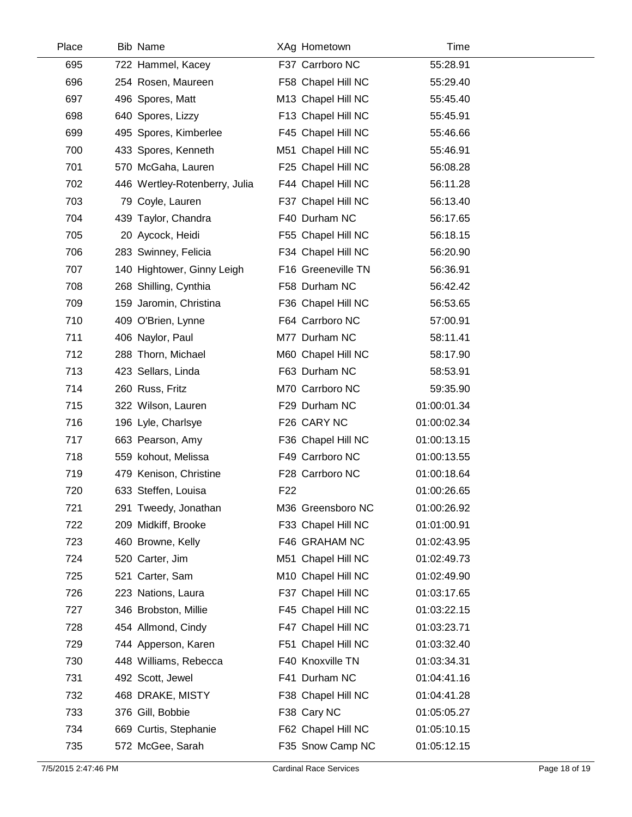| Place | <b>Bib Name</b>               | XAg Hometown       | Time        |  |
|-------|-------------------------------|--------------------|-------------|--|
| 695   | 722 Hammel, Kacey             | F37 Carrboro NC    | 55:28.91    |  |
| 696   | 254 Rosen, Maureen            | F58 Chapel Hill NC | 55:29.40    |  |
| 697   | 496 Spores, Matt              | M13 Chapel Hill NC | 55:45.40    |  |
| 698   | 640 Spores, Lizzy             | F13 Chapel Hill NC | 55:45.91    |  |
| 699   | 495 Spores, Kimberlee         | F45 Chapel Hill NC | 55:46.66    |  |
| 700   | 433 Spores, Kenneth           | M51 Chapel Hill NC | 55:46.91    |  |
| 701   | 570 McGaha, Lauren            | F25 Chapel Hill NC | 56:08.28    |  |
| 702   | 446 Wertley-Rotenberry, Julia | F44 Chapel Hill NC | 56:11.28    |  |
| 703   | 79 Coyle, Lauren              | F37 Chapel Hill NC | 56:13.40    |  |
| 704   | 439 Taylor, Chandra           | F40 Durham NC      | 56:17.65    |  |
| 705   | 20 Aycock, Heidi              | F55 Chapel Hill NC | 56:18.15    |  |
| 706   | 283 Swinney, Felicia          | F34 Chapel Hill NC | 56:20.90    |  |
| 707   | 140 Hightower, Ginny Leigh    | F16 Greeneville TN | 56:36.91    |  |
| 708   | 268 Shilling, Cynthia         | F58 Durham NC      | 56:42.42    |  |
| 709   | 159 Jaromin, Christina        | F36 Chapel Hill NC | 56:53.65    |  |
| 710   | 409 O'Brien, Lynne            | F64 Carrboro NC    | 57:00.91    |  |
| 711   | 406 Naylor, Paul              | M77 Durham NC      | 58:11.41    |  |
| 712   | 288 Thorn, Michael            | M60 Chapel Hill NC | 58:17.90    |  |
| 713   | 423 Sellars, Linda            | F63 Durham NC      | 58:53.91    |  |
| 714   | 260 Russ, Fritz               | M70 Carrboro NC    | 59:35.90    |  |
| 715   | 322 Wilson, Lauren            | F29 Durham NC      | 01:00:01.34 |  |
| 716   | 196 Lyle, Charlsye            | F26 CARY NC        | 01:00:02.34 |  |
| 717   | 663 Pearson, Amy              | F36 Chapel Hill NC | 01:00:13.15 |  |
| 718   | 559 kohout, Melissa           | F49 Carrboro NC    | 01:00:13.55 |  |
| 719   | 479 Kenison, Christine        | F28 Carrboro NC    | 01:00:18.64 |  |
| 720   | 633 Steffen, Louisa           | F <sub>22</sub>    | 01:00:26.65 |  |
| 721   | 291 Tweedy, Jonathan          | M36 Greensboro NC  | 01:00:26.92 |  |
| 722   | 209 Midkiff, Brooke           | F33 Chapel Hill NC | 01:01:00.91 |  |
| 723   | 460 Browne, Kelly             | F46 GRAHAM NC      | 01:02:43.95 |  |
| 724   | 520 Carter, Jim               | M51 Chapel Hill NC | 01:02:49.73 |  |
| 725   | 521 Carter, Sam               | M10 Chapel Hill NC | 01:02:49.90 |  |
| 726   | 223 Nations, Laura            | F37 Chapel Hill NC | 01:03:17.65 |  |
| 727   | 346 Brobston, Millie          | F45 Chapel Hill NC | 01:03:22.15 |  |
| 728   | 454 Allmond, Cindy            | F47 Chapel Hill NC | 01:03:23.71 |  |
| 729   | 744 Apperson, Karen           | F51 Chapel Hill NC | 01:03:32.40 |  |
| 730   | 448 Williams, Rebecca         | F40 Knoxville TN   | 01:03:34.31 |  |
| 731   | 492 Scott, Jewel              | F41 Durham NC      | 01:04:41.16 |  |
| 732   | 468 DRAKE, MISTY              | F38 Chapel Hill NC | 01:04:41.28 |  |
| 733   | 376 Gill, Bobbie              | F38 Cary NC        | 01:05:05.27 |  |
| 734   | 669 Curtis, Stephanie         | F62 Chapel Hill NC | 01:05:10.15 |  |
| 735   | 572 McGee, Sarah              | F35 Snow Camp NC   | 01:05:12.15 |  |